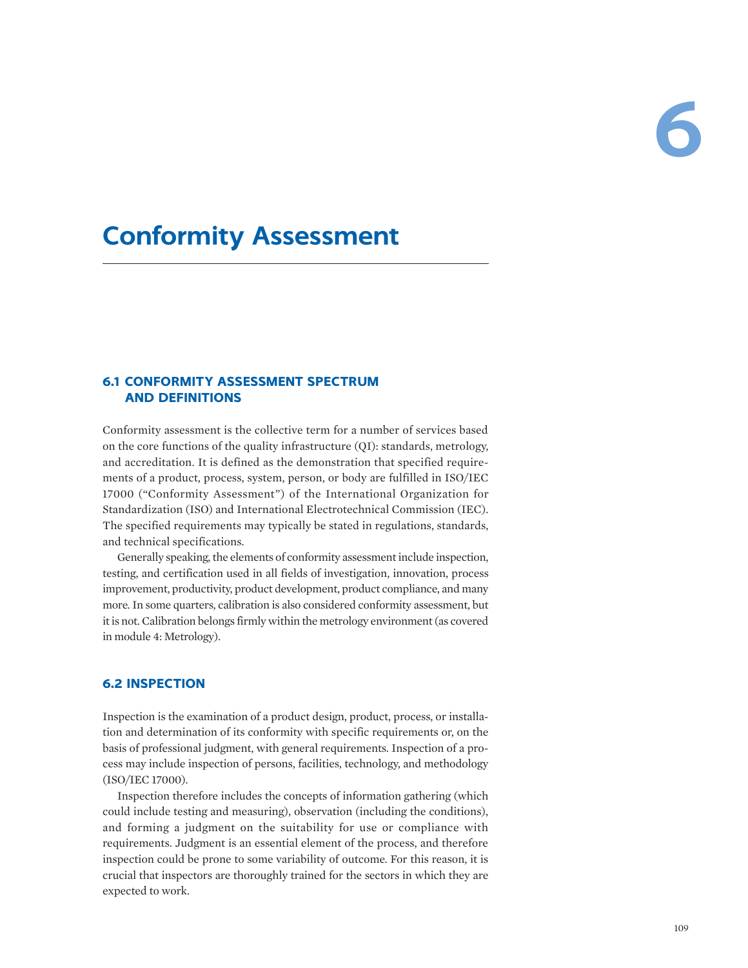# **Conformity Assessment**

# **6.1 CONFORMITY ASSESSMENT SPECTRUM AND DEFINITIONS**

Conformity assessment is the collective term for a number of services based on the core functions of the quality infrastructure (QI): standards, metrology, and accreditation. It is defined as the demonstration that specified requirements of a product, process, system, person, or body are fulfilled in ISO/IEC 17000 ("Conformity Assessment") of the International Organization for Standardization (ISO) and International Electrotechnical Commission (IEC). The specified requirements may typically be stated in regulations, standards, and technical specifications.

Generally speaking, the elements of conformity assessment include inspection, testing, and certification used in all fields of investigation, innovation, process improvement, productivity, product development, product compliance, and many more. In some quarters, calibration is also considered conformity assessment, but it is not. Calibration belongs firmly within the metrology environment (as covered in module 4: Metrology).

# **6.2 INSPECTION**

Inspection is the examination of a product design, product, process, or installation and determination of its conformity with specific requirements or, on the basis of professional judgment, with general requirements. Inspection of a process may include inspection of persons, facilities, technology, and methodology (ISO/IEC 17000).

Inspection therefore includes the concepts of information gathering (which could include testing and measuring), observation (including the conditions), and forming a judgment on the suitability for use or compliance with requirements. Judgment is an essential element of the process, and therefore inspection could be prone to some variability of outcome. For this reason, it is crucial that inspectors are thoroughly trained for the sectors in which they are expected to work.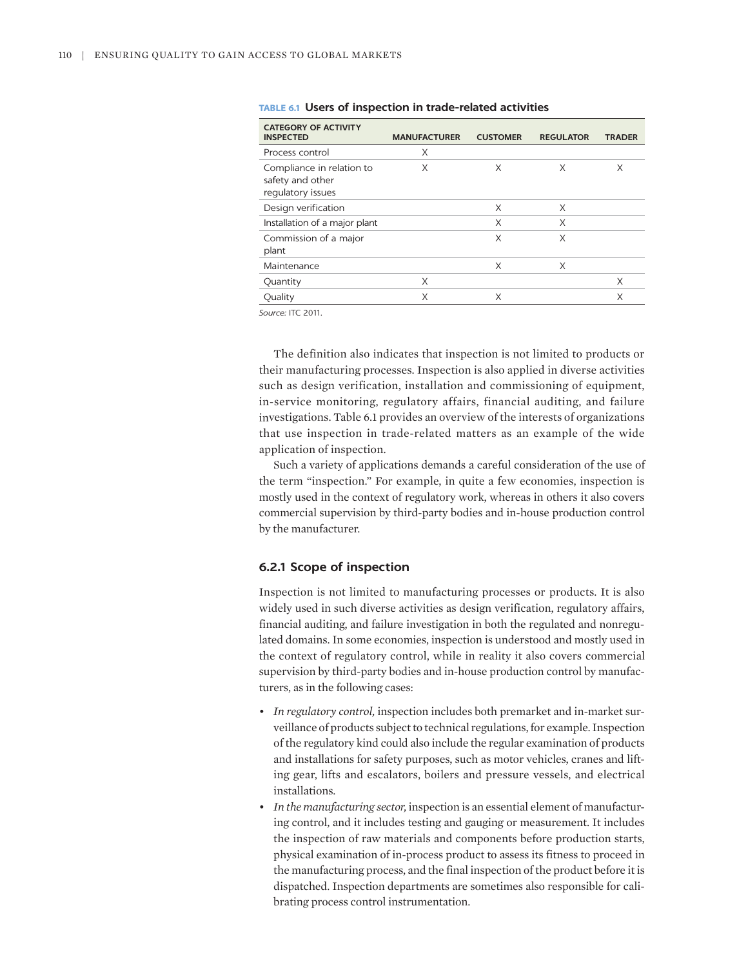| <b>CATEGORY OF ACTIVITY</b><br><b>INSPECTED</b>                    | <b>MANUFACTURER</b> | <b>CUSTOMER</b> | <b>REGULATOR</b> | <b>TRADER</b> |
|--------------------------------------------------------------------|---------------------|-----------------|------------------|---------------|
| Process control                                                    | X                   |                 |                  |               |
| Compliance in relation to<br>safety and other<br>regulatory issues | X                   | X               | X                | X             |
| Design verification                                                |                     | X               | X                |               |
| Installation of a major plant                                      |                     | X               | X                |               |
| Commission of a major<br>plant                                     |                     | X               | X                |               |
| Maintenance                                                        |                     | X               | X                |               |
| Quantity                                                           | X                   |                 |                  | X             |
| Quality                                                            | X                   | X               |                  | X             |

|  |  |  | TABLE 6.1 Users of inspection in trade-related activities |  |  |  |  |
|--|--|--|-----------------------------------------------------------|--|--|--|--|
|--|--|--|-----------------------------------------------------------|--|--|--|--|

*Source:* ITC 2011.

The definition also indicates that inspection is not limited to products or their manufacturing processes. Inspection is also applied in diverse activities such as design verification, installation and commissioning of equipment, in-service monitoring, regulatory affairs, financial auditing, and failure investigations. Table 6.1 provides an overview of the interests of organizations that use inspection in trade-related matters as an example of the wide application of inspection.

Such a variety of applications demands a careful consideration of the use of the term "inspection." For example, in quite a few economies, inspection is mostly used in the context of regulatory work, whereas in others it also covers commercial supervision by third-party bodies and in-house production control by the manufacturer.

## **6.2.1 Scope of inspection**

Inspection is not limited to manufacturing processes or products. It is also widely used in such diverse activities as design verification, regulatory affairs, financial auditing, and failure investigation in both the regulated and nonregulated domains. In some economies, inspection is understood and mostly used in the context of regulatory control, while in reality it also covers commercial supervision by third-party bodies and in-house production control by manufacturers, as in the following cases:

- *In regulatory control,* inspection includes both premarket and in-market surveillance of products subject to technical regulations, for example. Inspection of the regulatory kind could also include the regular examination of products and installations for safety purposes, such as motor vehicles, cranes and lifting gear, lifts and escalators, boilers and pressure vessels, and electrical installations.
- *In the manufacturing sector,* inspection is an essential element of manufacturing control, and it includes testing and gauging or measurement. It includes the inspection of raw materials and components before production starts, physical examination of in-process product to assess its fitness to proceed in the manufacturing process, and the final inspection of the product before it is dispatched. Inspection departments are sometimes also responsible for calibrating process control instrumentation.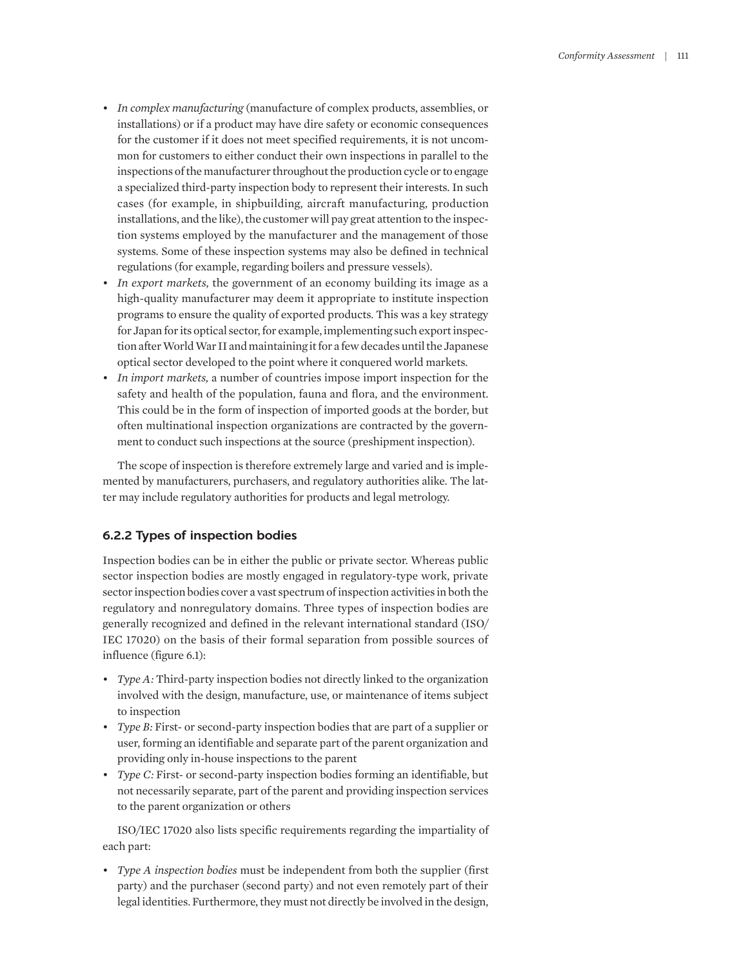- *In complex manufacturing* (manufacture of complex products, assemblies, or installations) or if a product may have dire safety or economic consequences for the customer if it does not meet specified requirements, it is not uncommon for customers to either conduct their own inspections in parallel to the inspections of the manufacturer throughout the production cycle or to engage a specialized third-party inspection body to represent their interests. In such cases (for example, in shipbuilding, aircraft manufacturing, production installations, and the like), the customer will pay great attention to the inspection systems employed by the manufacturer and the management of those systems. Some of these inspection systems may also be defined in technical regulations (for example, regarding boilers and pressure vessels).
- *In export markets,* the government of an economy building its image as a high-quality manufacturer may deem it appropriate to institute inspection programs to ensure the quality of exported products. This was a key strategy for Japan for its optical sector, for example, implementing such export inspection after World War II and maintaining it for a few decades until the Japanese optical sector developed to the point where it conquered world markets.
- *In import markets,* a number of countries impose import inspection for the safety and health of the population, fauna and flora, and the environment. This could be in the form of inspection of imported goods at the border, but often multinational inspection organizations are contracted by the government to conduct such inspections at the source (preshipment inspection).

The scope of inspection is therefore extremely large and varied and is implemented by manufacturers, purchasers, and regulatory authorities alike. The latter may include regulatory authorities for products and legal metrology.

## **6.2.2 Types of inspection bodies**

Inspection bodies can be in either the public or private sector. Whereas public sector inspection bodies are mostly engaged in regulatory-type work, private sector inspection bodies cover a vast spectrum of inspection activities in both the regulatory and nonregulatory domains. Three types of inspection bodies are generally recognized and defined in the relevant international standard (ISO/ IEC 17020) on the basis of their formal separation from possible sources of influence (figure 6.1):

- *Type A:* Third-party inspection bodies not directly linked to the organization involved with the design, manufacture, use, or maintenance of items subject to inspection
- *Type B:* First- or second-party inspection bodies that are part of a supplier or user, forming an identifiable and separate part of the parent organization and providing only in-house inspections to the parent
- *Type C:* First- or second-party inspection bodies forming an identifiable, but not necessarily separate, part of the parent and providing inspection services to the parent organization or others

ISO/IEC 17020 also lists specific requirements regarding the impartiality of each part:

• *Type A inspection bodies* must be independent from both the supplier (first party) and the purchaser (second party) and not even remotely part of their legal identities. Furthermore, they must not directly be involved in the design,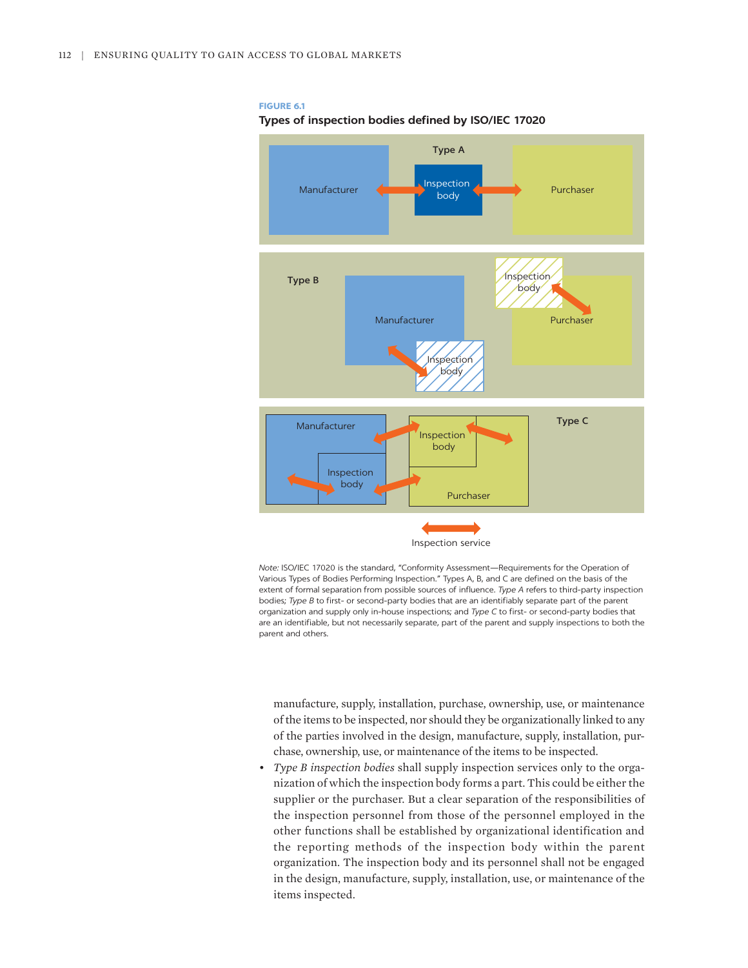#### **FIGURE 6.1**

#### **Types of inspection bodies defined by ISO/IEC 17020**



*Note:* ISO/IEC 17020 is the standard, "Conformity Assessment—Requirements for the Operation of Various Types of Bodies Performing Inspection." Types A, B, and C are defined on the basis of the extent of formal separation from possible sources of influence. *Type A* refers to third-party inspection bodies; *Type B* to first- or second-party bodies that are an identifiably separate part of the parent organization and supply only in-house inspections; and *Type C* to first- or second-party bodies that are an identifiable, but not necessarily separate, part of the parent and supply inspections to both the parent and others.

manufacture, supply, installation, purchase, ownership, use, or maintenance of the items to be inspected, nor should they be organizationally linked to any of the parties involved in the design, manufacture, supply, installation, purchase, ownership, use, or maintenance of the items to be inspected.

• *Type B inspection bodies* shall supply inspection services only to the organization of which the inspection body forms a part. This could be either the supplier or the purchaser. But a clear separation of the responsibilities of the inspection personnel from those of the personnel employed in the other functions shall be established by organizational identification and the reporting methods of the inspection body within the parent organization. The inspection body and its personnel shall not be engaged in the design, manufacture, supply, installation, use, or maintenance of the items inspected.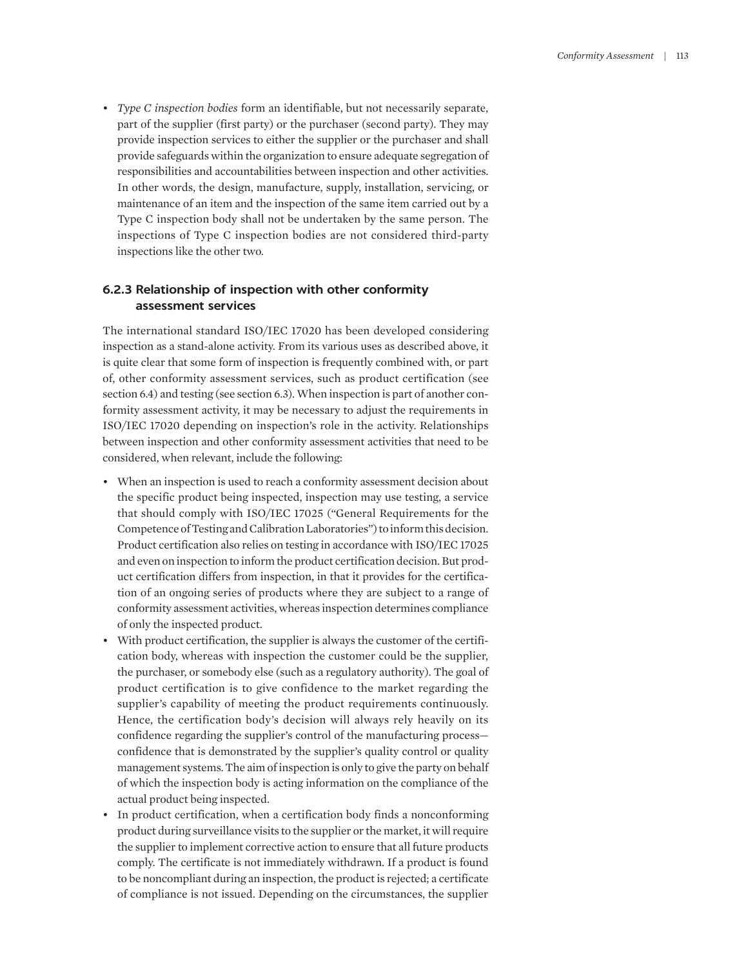• *Type C inspection bodies* form an identifiable, but not necessarily separate, part of the supplier (first party) or the purchaser (second party). They may provide inspection services to either the supplier or the purchaser and shall provide safeguards within the organization to ensure adequate segregation of responsibilities and accountabilities between inspection and other activities. In other words, the design, manufacture, supply, installation, servicing, or maintenance of an item and the inspection of the same item carried out by a Type C inspection body shall not be undertaken by the same person. The inspections of Type C inspection bodies are not considered third-party inspections like the other two.

# **6.2.3 Relationship of inspection with other conformity assessment services**

The international standard ISO/IEC 17020 has been developed considering inspection as a stand-alone activity. From its various uses as described above, it is quite clear that some form of inspection is frequently combined with, or part of, other conformity assessment services, such as product certification (see section 6.4) and testing (see section 6.3). When inspection is part of another conformity assessment activity, it may be necessary to adjust the requirements in ISO/IEC 17020 depending on inspection's role in the activity. Relationships between inspection and other conformity assessment activities that need to be considered, when relevant, include the following:

- When an inspection is used to reach a conformity assessment decision about the specific product being inspected, inspection may use testing, a service that should comply with ISO/IEC 17025 ("General Requirements for the Competence of Testing and Calibration Laboratories") to inform this decision. Product certification also relies on testing in accordance with ISO/IEC 17025 and even on inspection to inform the product certification decision. But product certification differs from inspection, in that it provides for the certification of an ongoing series of products where they are subject to a range of conformity assessment activities, whereas inspection determines compliance of only the inspected product.
- With product certification, the supplier is always the customer of the certification body, whereas with inspection the customer could be the supplier, the purchaser, or somebody else (such as a regulatory authority). The goal of product certification is to give confidence to the market regarding the supplier's capability of meeting the product requirements continuously. Hence, the certification body's decision will always rely heavily on its confidence regarding the supplier's control of the manufacturing process confidence that is demonstrated by the supplier's quality control or quality management systems. The aim of inspection is only to give the party on behalf of which the inspection body is acting information on the compliance of the actual product being inspected.
- In product certification, when a certification body finds a nonconforming product during surveillance visits to the supplier or the market, it will require the supplier to implement corrective action to ensure that all future products comply. The certificate is not immediately withdrawn. If a product is found to be noncompliant during an inspection, the product is rejected; a certificate of compliance is not issued. Depending on the circumstances, the supplier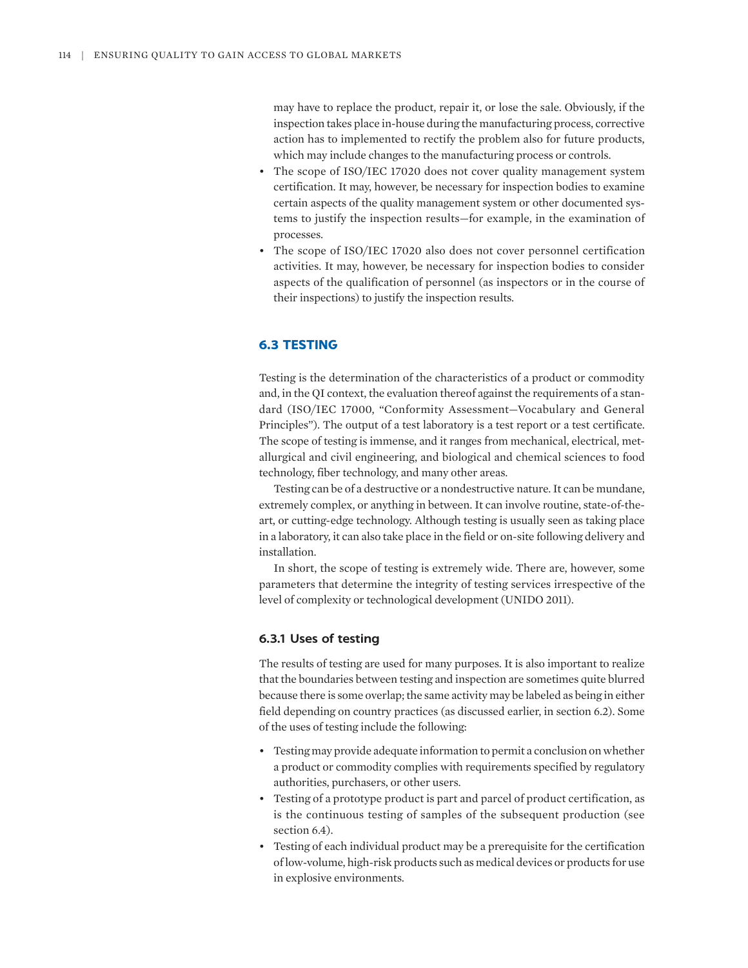may have to replace the product, repair it, or lose the sale. Obviously, if the inspection takes place in-house during the manufacturing process, corrective action has to implemented to rectify the problem also for future products, which may include changes to the manufacturing process or controls.

- The scope of ISO/IEC 17020 does not cover quality management system certification. It may, however, be necessary for inspection bodies to examine certain aspects of the quality management system or other documented systems to justify the inspection results—for example, in the examination of processes.
- The scope of ISO/IEC 17020 also does not cover personnel certification activities. It may, however, be necessary for inspection bodies to consider aspects of the qualification of personnel (as inspectors or in the course of their inspections) to justify the inspection results.

# **6.3 TESTING**

Testing is the determination of the characteristics of a product or commodity and, in the QI context, the evaluation thereof against the requirements of a standard (ISO/IEC 17000, "Conformity Assessment—Vocabulary and General Principles"). The output of a test laboratory is a test report or a test certificate. The scope of testing is immense, and it ranges from mechanical, electrical, metallurgical and civil engineering, and biological and chemical sciences to food technology, fiber technology, and many other areas.

Testing can be of a destructive or a nondestructive nature. It can be mundane, extremely complex, or anything in between. It can involve routine, state-of-theart, or cutting-edge technology. Although testing is usually seen as taking place in a laboratory, it can also take place in the field or on-site following delivery and installation.

In short, the scope of testing is extremely wide. There are, however, some parameters that determine the integrity of testing services irrespective of the level of complexity or technological development (UNIDO 2011).

# **6.3.1 Uses of testing**

The results of testing are used for many purposes. It is also important to realize that the boundaries between testing and inspection are sometimes quite blurred because there is some overlap; the same activity may be labeled as being in either field depending on country practices (as discussed earlier, in section 6.2). Some of the uses of testing include the following:

- Testing may provide adequate information to permit a conclusion on whether a product or commodity complies with requirements specified by regulatory authorities, purchasers, or other users.
- Testing of a prototype product is part and parcel of product certification, as is the continuous testing of samples of the subsequent production (see section 6.4).
- Testing of each individual product may be a prerequisite for the certification of low-volume, high-risk products such as medical devices or products for use in explosive environments.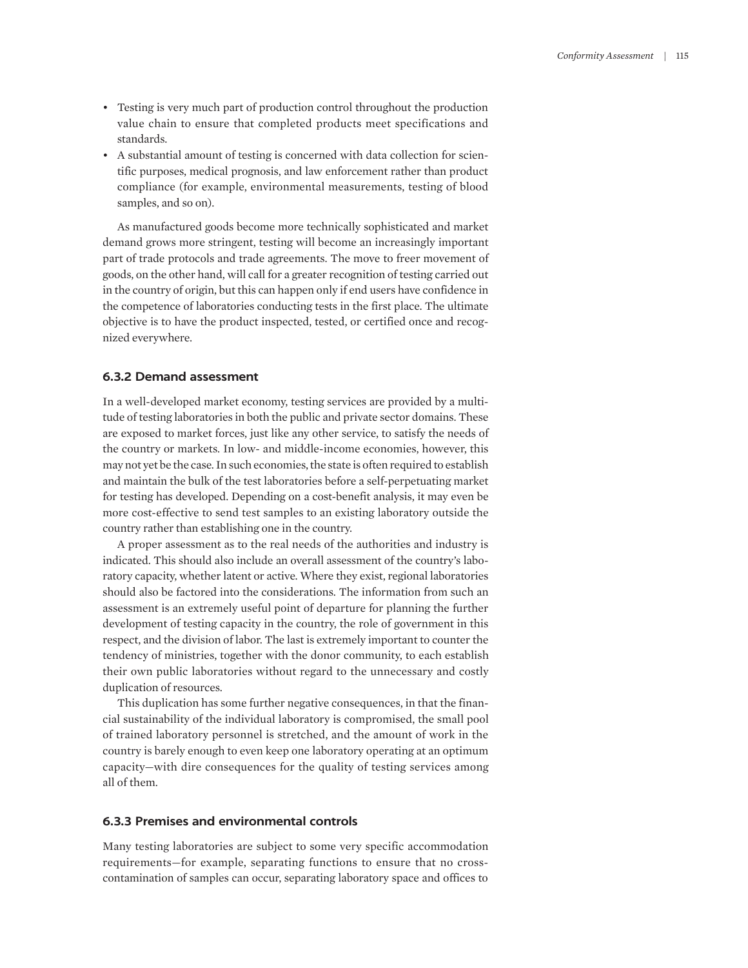- Testing is very much part of production control throughout the production value chain to ensure that completed products meet specifications and standards.
- A substantial amount of testing is concerned with data collection for scientific purposes, medical prognosis, and law enforcement rather than product compliance (for example, environmental measurements, testing of blood samples, and so on).

As manufactured goods become more technically sophisticated and market demand grows more stringent, testing will become an increasingly important part of trade protocols and trade agreements. The move to freer movement of goods, on the other hand, will call for a greater recognition of testing carried out in the country of origin, but this can happen only if end users have confidence in the competence of laboratories conducting tests in the first place. The ultimate objective is to have the product inspected, tested, or certified once and recognized everywhere.

#### **6.3.2 Demand assessment**

In a well-developed market economy, testing services are provided by a multitude of testing laboratories in both the public and private sector domains. These are exposed to market forces, just like any other service, to satisfy the needs of the country or markets. In low- and middle-income economies, however, this may not yet be the case. In such economies, the state is often required to establish and maintain the bulk of the test laboratories before a self-perpetuating market for testing has developed. Depending on a cost-benefit analysis, it may even be more cost-effective to send test samples to an existing laboratory outside the country rather than establishing one in the country.

A proper assessment as to the real needs of the authorities and industry is indicated. This should also include an overall assessment of the country's laboratory capacity, whether latent or active. Where they exist, regional laboratories should also be factored into the considerations. The information from such an assessment is an extremely useful point of departure for planning the further development of testing capacity in the country, the role of government in this respect, and the division of labor. The last is extremely important to counter the tendency of ministries, together with the donor community, to each establish their own public laboratories without regard to the unnecessary and costly duplication of resources.

This duplication has some further negative consequences, in that the financial sustainability of the individual laboratory is compromised, the small pool of trained laboratory personnel is stretched, and the amount of work in the country is barely enough to even keep one laboratory operating at an optimum capacity—with dire consequences for the quality of testing services among all of them.

## **6.3.3 Premises and environmental controls**

Many testing laboratories are subject to some very specific accommodation requirements—for example, separating functions to ensure that no crosscontamination of samples can occur, separating laboratory space and offices to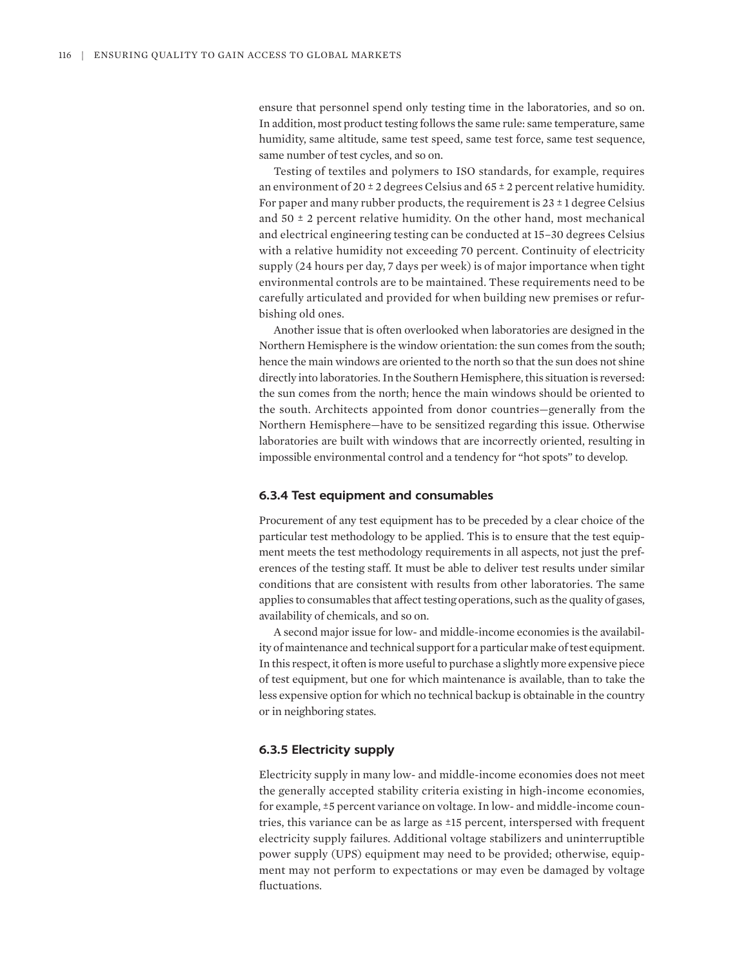ensure that personnel spend only testing time in the laboratories, and so on. In addition, most product testing follows the same rule: same temperature, same humidity, same altitude, same test speed, same test force, same test sequence, same number of test cycles, and so on.

Testing of textiles and polymers to ISO standards, for example, requires an environment of 20  $\pm$  2 degrees Celsius and 65  $\pm$  2 percent relative humidity. For paper and many rubber products, the requirement is  $23 \pm 1$  degree Celsius and  $50 \pm 2$  percent relative humidity. On the other hand, most mechanical and electrical engineering testing can be conducted at 15–30 degrees Celsius with a relative humidity not exceeding 70 percent. Continuity of electricity supply (24 hours per day, 7 days per week) is of major importance when tight environmental controls are to be maintained. These requirements need to be carefully articulated and provided for when building new premises or refurbishing old ones.

Another issue that is often overlooked when laboratories are designed in the Northern Hemisphere is the window orientation: the sun comes from the south; hence the main windows are oriented to the north so that the sun does not shine directly into laboratories. In the Southern Hemisphere, this situation is reversed: the sun comes from the north; hence the main windows should be oriented to the south. Architects appointed from donor countries—generally from the Northern Hemisphere—have to be sensitized regarding this issue. Otherwise laboratories are built with windows that are incorrectly oriented, resulting in impossible environmental control and a tendency for "hot spots" to develop.

#### **6.3.4 Test equipment and consumables**

Procurement of any test equipment has to be preceded by a clear choice of the particular test methodology to be applied. This is to ensure that the test equipment meets the test methodology requirements in all aspects, not just the preferences of the testing staff. It must be able to deliver test results under similar conditions that are consistent with results from other laboratories. The same applies to consumables that affect testing operations, such as the quality of gases, availability of chemicals, and so on.

A second major issue for low- and middle-income economies is the availability of maintenance and technical support for a particular make of test equipment. In this respect, it often is more useful to purchase a slightly more expensive piece of test equipment, but one for which maintenance is available, than to take the less expensive option for which no technical backup is obtainable in the country or in neighboring states.

## **6.3.5 Electricity supply**

Electricity supply in many low- and middle-income economies does not meet the generally accepted stability criteria existing in high-income economies, for example, ±5 percent variance on voltage. In low- and middle-income countries, this variance can be as large as ±15 percent, interspersed with frequent electricity supply failures. Additional voltage stabilizers and uninterruptible power supply (UPS) equipment may need to be provided; otherwise, equipment may not perform to expectations or may even be damaged by voltage fluctuations.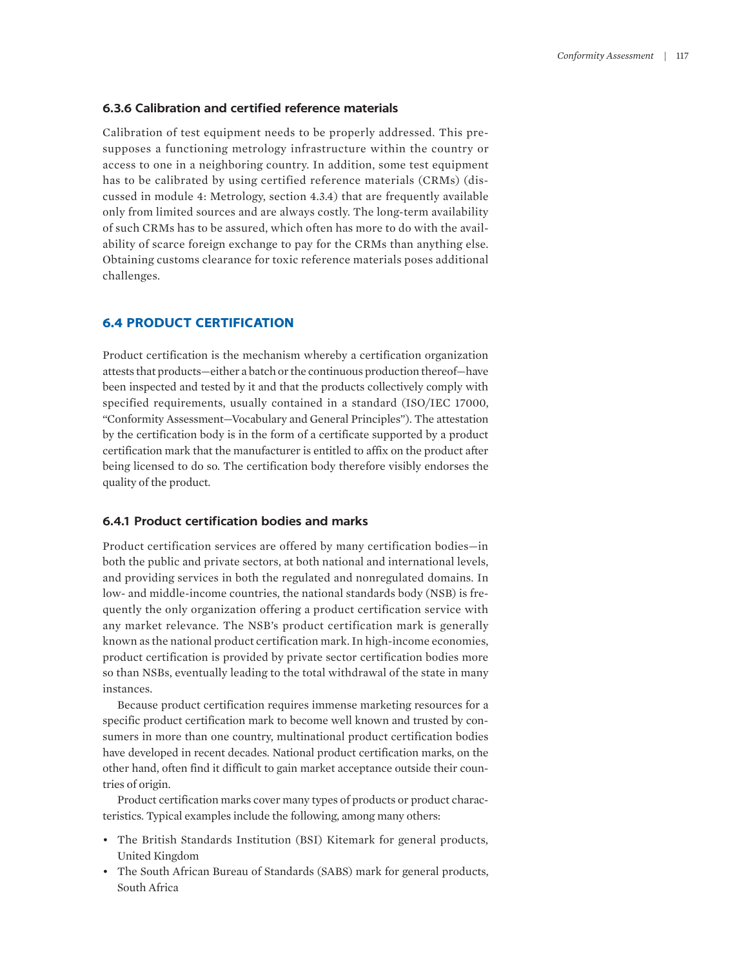#### **6.3.6 Calibration and certified reference materials**

Calibration of test equipment needs to be properly addressed. This presupposes a functioning metrology infrastructure within the country or access to one in a neighboring country. In addition, some test equipment has to be calibrated by using certified reference materials (CRMs) (discussed in module 4: Metrology, section 4.3.4) that are frequently available only from limited sources and are always costly. The long-term availability of such CRMs has to be assured, which often has more to do with the availability of scarce foreign exchange to pay for the CRMs than anything else. Obtaining customs clearance for toxic reference materials poses additional challenges.

# **6.4 PRODUCT CERTIFICATION**

Product certification is the mechanism whereby a certification organization attests that products—either a batch or the continuous production thereof—have been inspected and tested by it and that the products collectively comply with specified requirements, usually contained in a standard (ISO/IEC 17000, "Conformity Assessment—Vocabulary and General Principles"). The attestation by the certification body is in the form of a certificate supported by a product certification mark that the manufacturer is entitled to affix on the product after being licensed to do so. The certification body therefore visibly endorses the quality of the product.

## **6.4.1 Product certification bodies and marks**

Product certification services are offered by many certification bodies—in both the public and private sectors, at both national and international levels, and providing services in both the regulated and nonregulated domains. In low- and middle-income countries, the national standards body (NSB) is frequently the only organization offering a product certification service with any market relevance. The NSB's product certification mark is generally known as the national product certification mark. In high-income economies, product certification is provided by private sector certification bodies more so than NSBs, eventually leading to the total withdrawal of the state in many instances.

Because product certification requires immense marketing resources for a specific product certification mark to become well known and trusted by consumers in more than one country, multinational product certification bodies have developed in recent decades. National product certification marks, on the other hand, often find it difficult to gain market acceptance outside their countries of origin.

Product certification marks cover many types of products or product characteristics. Typical examples include the following, among many others:

- The British Standards Institution (BSI) Kitemark for general products, United Kingdom
- The South African Bureau of Standards (SABS) mark for general products, South Africa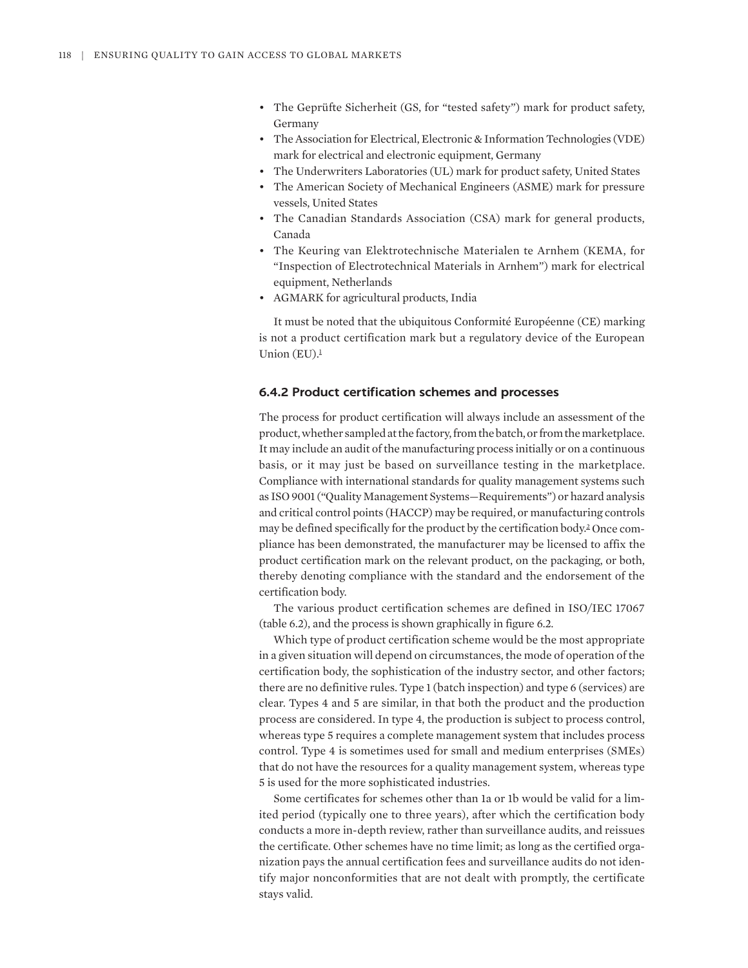- The Geprüfte Sicherheit (GS, for "tested safety") mark for product safety, Germany
- The Association for Electrical, Electronic & Information Technologies (VDE) mark for electrical and electronic equipment, Germany
- The Underwriters Laboratories (UL) mark for product safety, United States
- The American Society of Mechanical Engineers (ASME) mark for pressure vessels, United States
- The Canadian Standards Association (CSA) mark for general products, Canada
- The Keuring van Elektrotechnische Materialen te Arnhem (KEMA, for "Inspection of Electrotechnical Materials in Arnhem") mark for electrical equipment, Netherlands
- AGMARK for agricultural products, India

<span id="page-9-0"></span>It must be noted that the ubiquitous Conformité Européenne (CE) marking is not a product certification mark but a regulatory device of the European Union  $(EU)$ .<sup>1</sup>

#### **6.4.2 Product certification schemes and processes**

The process for product certification will always include an assessment of the product, whether sampled at the factory, from the batch, or from the marketplace. It may include an audit of the manufacturing process initially or on a continuous basis, or it may just be based on surveillance testing in the marketplace. Compliance with international standards for quality management systems such as ISO 9001 ("Quality Management Systems—Requirements") or hazard analysis and critical control points (HACCP) may be required, or manufacturing controls may be defined specifically for the product by the certification body. [2](#page-30-1) Once compliance has been demonstrated, the manufacturer may be licensed to affix the product certification mark on the relevant product, on the packaging, or both, thereby denoting compliance with the standard and the endorsement of the certification body.

<span id="page-9-1"></span>The various product certification schemes are defined in ISO/IEC 17067 (table 6.2), and the process is shown graphically in figure 6.2.

Which type of product certification scheme would be the most appropriate in a given situation will depend on circumstances, the mode of operation of the certification body, the sophistication of the industry sector, and other factors; there are no definitive rules. Type 1 (batch inspection) and type 6 (services) are clear. Types 4 and 5 are similar, in that both the product and the production process are considered. In type 4, the production is subject to process control, whereas type 5 requires a complete management system that includes process control. Type 4 is sometimes used for small and medium enterprises (SMEs) that do not have the resources for a quality management system, whereas type 5 is used for the more sophisticated industries.

Some certificates for schemes other than 1a or 1b would be valid for a limited period (typically one to three years), after which the certification body conducts a more in-depth review, rather than surveillance audits, and reissues the certificate. Other schemes have no time limit; as long as the certified organization pays the annual certification fees and surveillance audits do not identify major nonconformities that are not dealt with promptly, the certificate stays valid.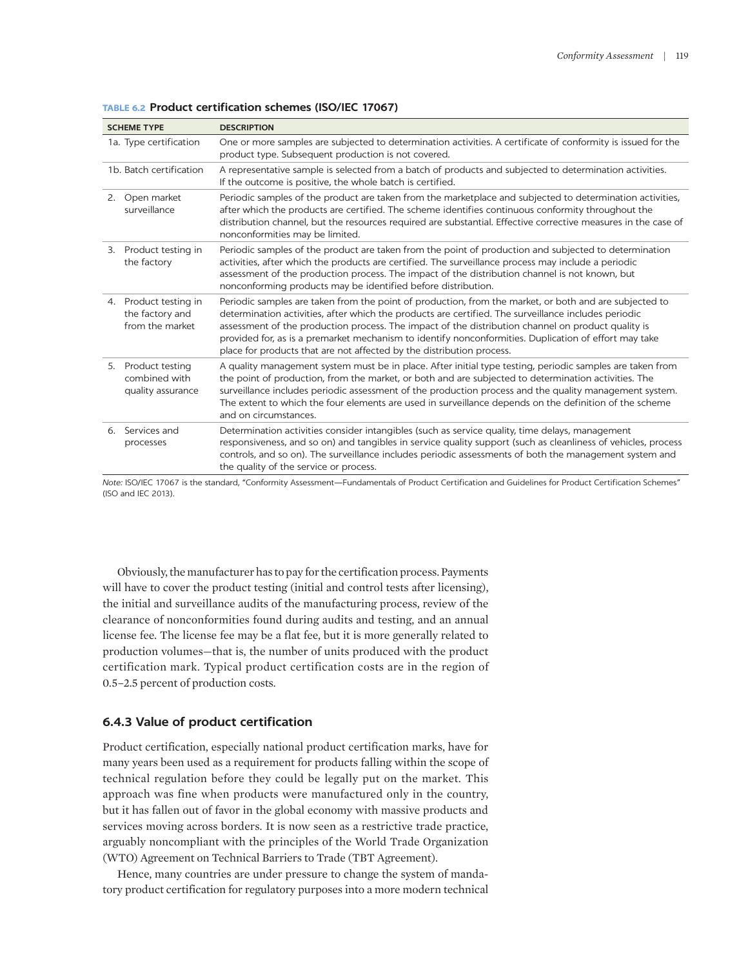| <b>SCHEME TYPE</b>                                          | <b>DESCRIPTION</b>                                                                                                                                                                                                                                                                                                                                                                                                                                                                                     |
|-------------------------------------------------------------|--------------------------------------------------------------------------------------------------------------------------------------------------------------------------------------------------------------------------------------------------------------------------------------------------------------------------------------------------------------------------------------------------------------------------------------------------------------------------------------------------------|
| 1a. Type certification                                      | One or more samples are subjected to determination activities. A certificate of conformity is issued for the<br>product type. Subsequent production is not covered.                                                                                                                                                                                                                                                                                                                                    |
| 1b. Batch certification                                     | A representative sample is selected from a batch of products and subjected to determination activities.<br>If the outcome is positive, the whole batch is certified.                                                                                                                                                                                                                                                                                                                                   |
| 2. Open market<br>surveillance                              | Periodic samples of the product are taken from the marketplace and subjected to determination activities,<br>after which the products are certified. The scheme identifies continuous conformity throughout the<br>distribution channel, but the resources required are substantial. Effective corrective measures in the case of<br>nonconformities may be limited.                                                                                                                                   |
| 3. Product testing in<br>the factory                        | Periodic samples of the product are taken from the point of production and subjected to determination<br>activities, after which the products are certified. The surveillance process may include a periodic<br>assessment of the production process. The impact of the distribution channel is not known, but<br>nonconforming products may be identified before distribution.                                                                                                                        |
| 4. Product testing in<br>the factory and<br>from the market | Periodic samples are taken from the point of production, from the market, or both and are subjected to<br>determination activities, after which the products are certified. The surveillance includes periodic<br>assessment of the production process. The impact of the distribution channel on product quality is<br>provided for, as is a premarket mechanism to identify nonconformities. Duplication of effort may take<br>place for products that are not affected by the distribution process. |
| 5. Product testing<br>combined with<br>quality assurance    | A quality management system must be in place. After initial type testing, periodic samples are taken from<br>the point of production, from the market, or both and are subjected to determination activities. The<br>surveillance includes periodic assessment of the production process and the quality management system.<br>The extent to which the four elements are used in surveillance depends on the definition of the scheme<br>and on circumstances.                                         |
| 6. Services and<br>processes                                | Determination activities consider intangibles (such as service quality, time delays, management<br>responsiveness, and so on) and tangibles in service quality support (such as cleanliness of vehicles, process<br>controls, and so on). The surveillance includes periodic assessments of both the management system and<br>the quality of the service or process.                                                                                                                                   |

**TABLE 6.2 Product certification schemes (ISO/IEC 17067)**

*Note:* ISO/IEC 17067 is the standard, "Conformity Assessment—Fundamentals of Product Certification and Guidelines for Product Certification Schemes" (ISO and IEC 2013).

Obviously, the manufacturer has to pay for the certification process. Payments will have to cover the product testing (initial and control tests after licensing), the initial and surveillance audits of the manufacturing process, review of the clearance of nonconformities found during audits and testing, and an annual license fee. The license fee may be a flat fee, but it is more generally related to production volumes—that is, the number of units produced with the product certification mark. Typical product certification costs are in the region of 0.5–2.5 percent of production costs.

#### **6.4.3 Value of product certification**

Product certification, especially national product certification marks, have for many years been used as a requirement for products falling within the scope of technical regulation before they could be legally put on the market. This approach was fine when products were manufactured only in the country, but it has fallen out of favor in the global economy with massive products and services moving across borders. It is now seen as a restrictive trade practice, arguably noncompliant with the principles of the World Trade Organization (WTO) Agreement on Technical Barriers to Trade (TBT Agreement).

Hence, many countries are under pressure to change the system of mandatory product certification for regulatory purposes into a more modern technical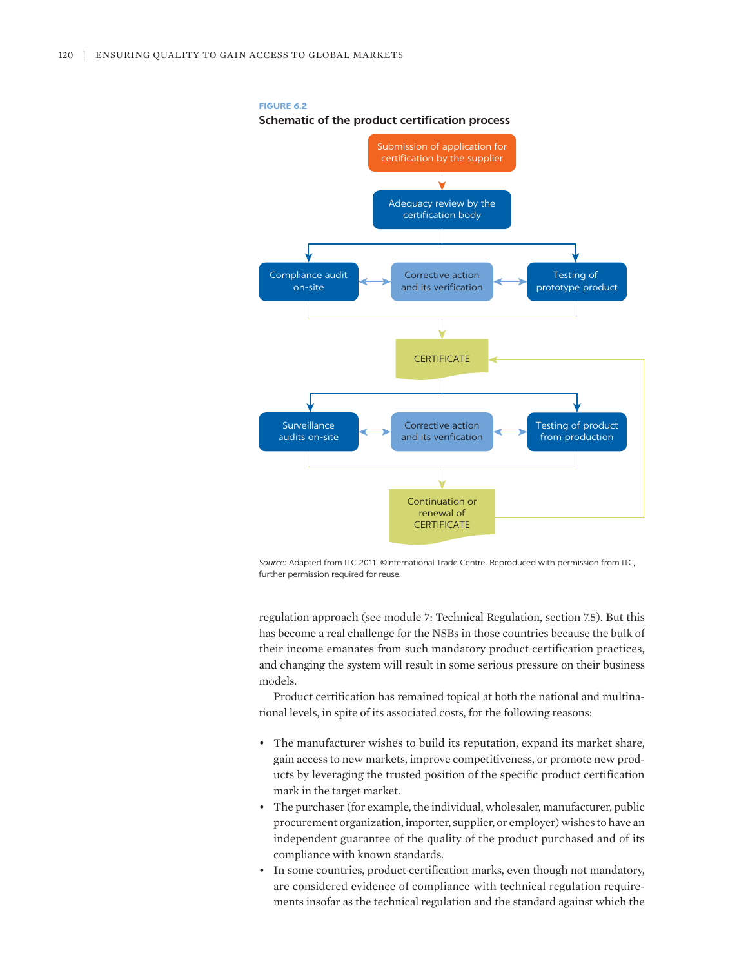

#### **FIGURE 6.2**

**Schematic of the product certification process**

*Source:* Adapted from ITC 2011. ©International Trade Centre. Reproduced with permission from ITC, further permission required for reuse.

regulation approach (see module 7: Technical Regulation, section 7.5). But this has become a real challenge for the NSBs in those countries because the bulk of their income emanates from such mandatory product certification practices, and changing the system will result in some serious pressure on their business models.

Product certification has remained topical at both the national and multinational levels, in spite of its associated costs, for the following reasons:

- The manufacturer wishes to build its reputation, expand its market share, gain access to new markets, improve competitiveness, or promote new products by leveraging the trusted position of the specific product certification mark in the target market.
- The purchaser (for example, the individual, wholesaler, manufacturer, public procurement organization, importer, supplier, or employer) wishes to have an independent guarantee of the quality of the product purchased and of its compliance with known standards.
- In some countries, product certification marks, even though not mandatory, are considered evidence of compliance with technical regulation requirements insofar as the technical regulation and the standard against which the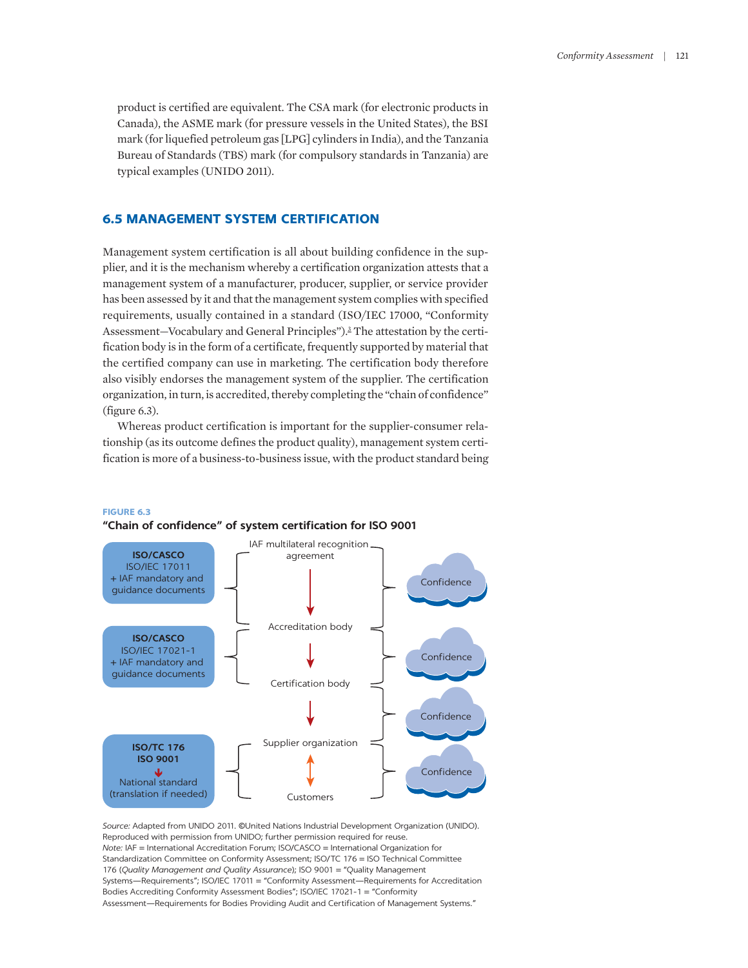product is certified are equivalent. The CSA mark (for electronic products in Canada), the ASME mark (for pressure vessels in the United States), the BSI mark (for liquefied petroleum gas [LPG] cylinders in India), and the Tanzania Bureau of Standards (TBS) mark (for compulsory standards in Tanzania) are typical examples (UNIDO 2011).

## **6.5 MANAGEMENT SYSTEM CERTIFICATION**

<span id="page-12-0"></span>Management system certification is all about building confidence in the supplier, and it is the mechanism whereby a certification organization attests that a management system of a manufacturer, producer, supplier, or service provider has been assessed by it and that the management system complies with specified requirements, usually contained in a standard (ISO/IEC 17000, "Conformity Assessment-Vocabulary and General Principles").<sup>[3](#page-30-2)</sup> The attestation by the certification body is in the form of a certificate, frequently supported by material that the certified company can use in marketing. The certification body therefore also visibly endorses the management system of the supplier. The certification organization, in turn, is accredited, thereby completing the "chain of confidence" (figure 6.3).

Whereas product certification is important for the supplier-consumer relationship (as its outcome defines the product quality), management system certification is more of a business-to-business issue, with the product standard being



## **FIGURE 6.3 "Chain of confidence" of system certification for ISO 9001**

*Source:* Adapted from UNIDO 2011. ©United Nations Industrial Development Organization (UNIDO). Reproduced with permission from UNIDO; further permission required for reuse. *Note:* IAF = International Accreditation Forum; ISO/CASCO = International Organization for Standardization Committee on Conformity Assessment; ISO/TC 176 = ISO Technical Committee 176 (*Quality Management and Quality Assurance*); ISO 9001 = "Quality Management Systems—Requirements"; ISO/IEC 17011 = "Conformity Assessment—Requirements for Accreditation Bodies Accrediting Conformity Assessment Bodies"; ISO/IEC 17021-1 = "Conformity Assessment—Requirements for Bodies Providing Audit and Certification of Management Systems."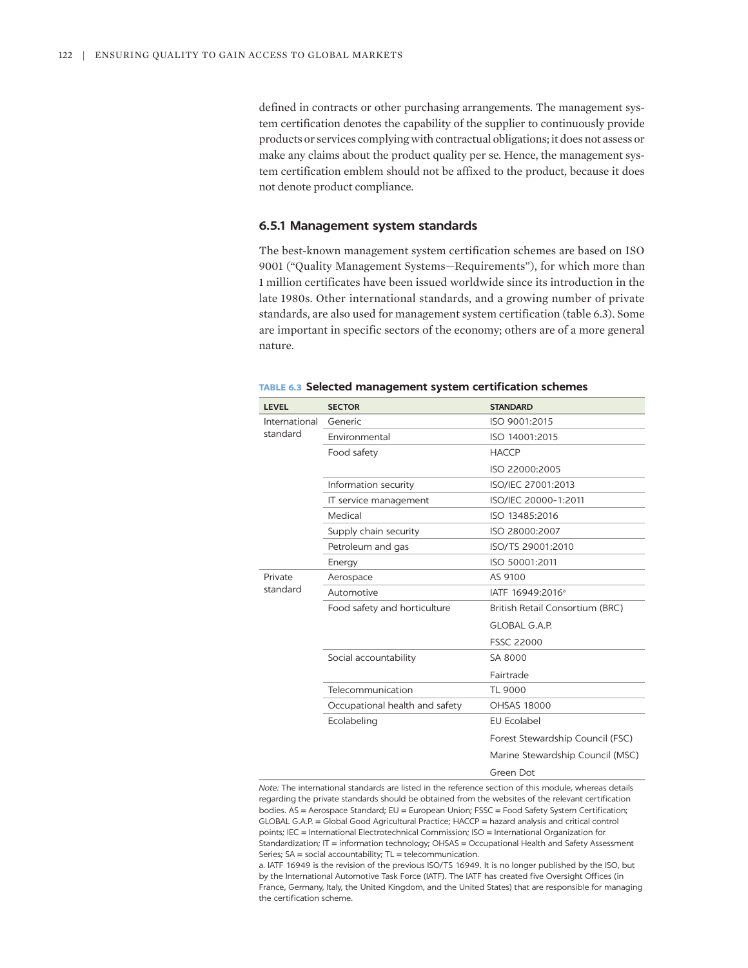defined in contracts or other purchasing arrangements. The management system certification denotes the capability of the supplier to continuously provide products or services complying with contractual obligations; it does not assess or make any claims about the product quality per se. Hence, the management system certification emblem should not be affixed to the product, because it does not denote product compliance.

#### **6.5.1 Management system standards**

The best-known management system certification schemes are based on ISO 9001 ("Quality Management Systems—Requirements"), for which more than 1 million certificates have been issued worldwide since its introduction in the late 1980s. Other international standards, and a growing number of private standards, are also used for management system certification (table 6.3). Some are important in specific sectors of the economy; others are of a more general nature.

| <b>LEVEL</b>              | <b>SECTOR</b>                  | <b>STANDARD</b>                  |  |
|---------------------------|--------------------------------|----------------------------------|--|
| International<br>standard | Generic                        | ISO 9001:2015                    |  |
|                           | Environmental                  | ISO 14001:2015                   |  |
|                           | Food safety                    | <b>HACCP</b>                     |  |
|                           |                                | ISO 22000:2005                   |  |
|                           | Information security           | ISO/IEC 27001:2013               |  |
|                           | IT service management          | ISO/IEC 20000-1:2011             |  |
|                           | Medical                        | ISO 13485:2016                   |  |
|                           | Supply chain security          | ISO 28000:2007                   |  |
|                           | Petroleum and gas              | ISO/TS 29001:2010                |  |
|                           | Energy                         | ISO 50001:2011                   |  |
| Private<br>standard       | Aerospace                      | AS 9100                          |  |
|                           | Automotive                     | IATF 16949:2016 <sup>a</sup>     |  |
|                           | Food safety and horticulture   | British Retail Consortium (BRC)  |  |
|                           |                                | <b>GLOBAL G.A.P.</b>             |  |
|                           |                                | <b>FSSC 22000</b>                |  |
|                           | Social accountability          | SA 8000                          |  |
|                           |                                | Fairtrade                        |  |
|                           | Telecommunication              | TL 9000                          |  |
|                           | Occupational health and safety | <b>OHSAS 18000</b>               |  |
|                           | Ecolabeling                    | <b>EU Ecolabel</b>               |  |
|                           |                                | Forest Stewardship Council (FSC) |  |
|                           |                                | Marine Stewardship Council (MSC) |  |
|                           |                                | Green Dot                        |  |

#### **TABLE 6.3 Selected management system certification schemes**

*Note:* The international standards are listed in the reference section of this module, whereas details regarding the private standards should be obtained from the websites of the relevant certification bodies. AS = Aerospace Standard; EU = European Union; FSSC = Food Safety System Certification; GLOBAL G.A.P. = Global Good Agricultural Practice; HACCP = hazard analysis and critical control points; IEC = International Electrotechnical Commission; ISO = International Organization for Standardization; IT = information technology; OHSAS = Occupational Health and Safety Assessment Series; SA = social accountability; TL = telecommunication.

a. IATF 16949 is the revision of the previous ISO/TS 16949. It is no longer published by the ISO, but by the International Automotive Task Force (IATF). The IATF has created five Oversight Offices (in France, Germany, Italy, the United Kingdom, and the United States) that are responsible for managing the certification scheme.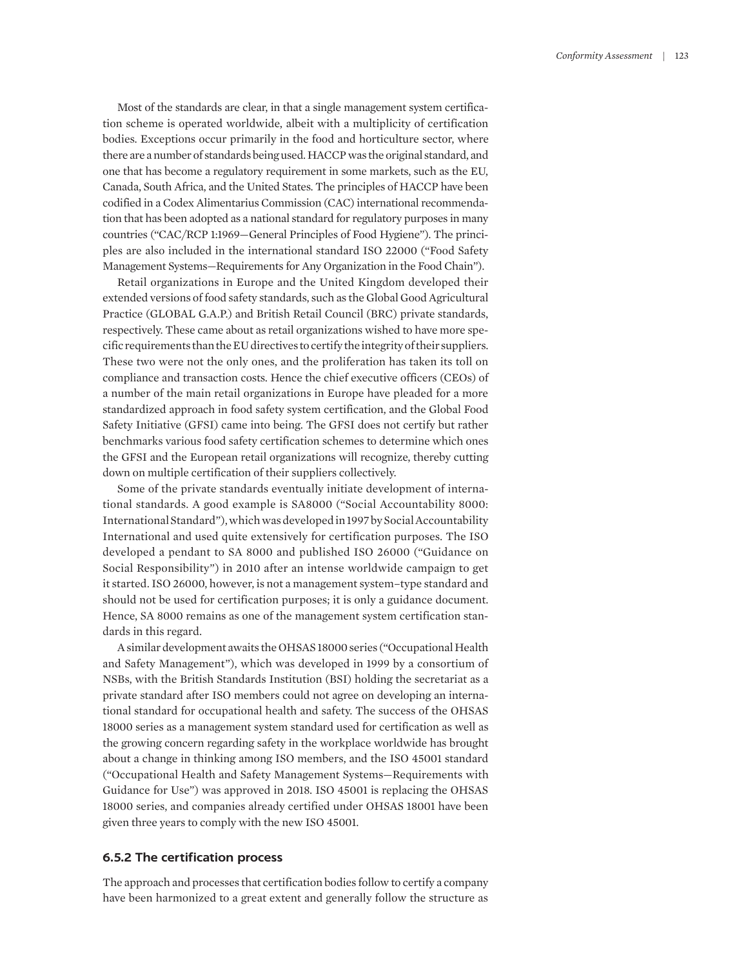Most of the standards are clear, in that a single management system certification scheme is operated worldwide, albeit with a multiplicity of certification bodies. Exceptions occur primarily in the food and horticulture sector, where there are a number of standards being used. HACCP was the original standard, and one that has become a regulatory requirement in some markets, such as the EU, Canada, South Africa, and the United States. The principles of HACCP have been codified in a Codex Alimentarius Commission (CAC) international recommendation that has been adopted as a national standard for regulatory purposes in many countries ("CAC/RCP 1:1969—General Principles of Food Hygiene"). The principles are also included in the international standard ISO 22000 ("Food Safety Management Systems—Requirements for Any Organization in the Food Chain").

Retail organizations in Europe and the United Kingdom developed their extended versions of food safety standards, such as the Global Good Agricultural Practice (GLOBAL G.A.P.) and British Retail Council (BRC) private standards, respectively. These came about as retail organizations wished to have more specific requirements than the EU directives to certify the integrity of their suppliers. These two were not the only ones, and the proliferation has taken its toll on compliance and transaction costs. Hence the chief executive officers (CEOs) of a number of the main retail organizations in Europe have pleaded for a more standardized approach in food safety system certification, and the Global Food Safety Initiative (GFSI) came into being. The GFSI does not certify but rather benchmarks various food safety certification schemes to determine which ones the GFSI and the European retail organizations will recognize, thereby cutting down on multiple certification of their suppliers collectively.

Some of the private standards eventually initiate development of international standards. A good example is SA8000 ("Social Accountability 8000: International Standard"), which was developed in 1997 by Social Accountability International and used quite extensively for certification purposes. The ISO developed a pendant to SA 8000 and published ISO 26000 ("Guidance on Social Responsibility") in 2010 after an intense worldwide campaign to get it started. ISO 26000, however, is not a management system–type standard and should not be used for certification purposes; it is only a guidance document. Hence, SA 8000 remains as one of the management system certification standards in this regard.

A similar development awaits the OHSAS 18000 series ("Occupational Health and Safety Management"), which was developed in 1999 by a consortium of NSBs, with the British Standards Institution (BSI) holding the secretariat as a private standard after ISO members could not agree on developing an international standard for occupational health and safety. The success of the OHSAS 18000 series as a management system standard used for certification as well as the growing concern regarding safety in the workplace worldwide has brought about a change in thinking among ISO members, and the ISO 45001 standard ("Occupational Health and Safety Management Systems—Requirements with Guidance for Use") was approved in 2018. ISO 45001 is replacing the OHSAS 18000 series, and companies already certified under OHSAS 18001 have been given three years to comply with the new ISO 45001.

#### **6.5.2 The certification process**

The approach and processes that certification bodies follow to certify a company have been harmonized to a great extent and generally follow the structure as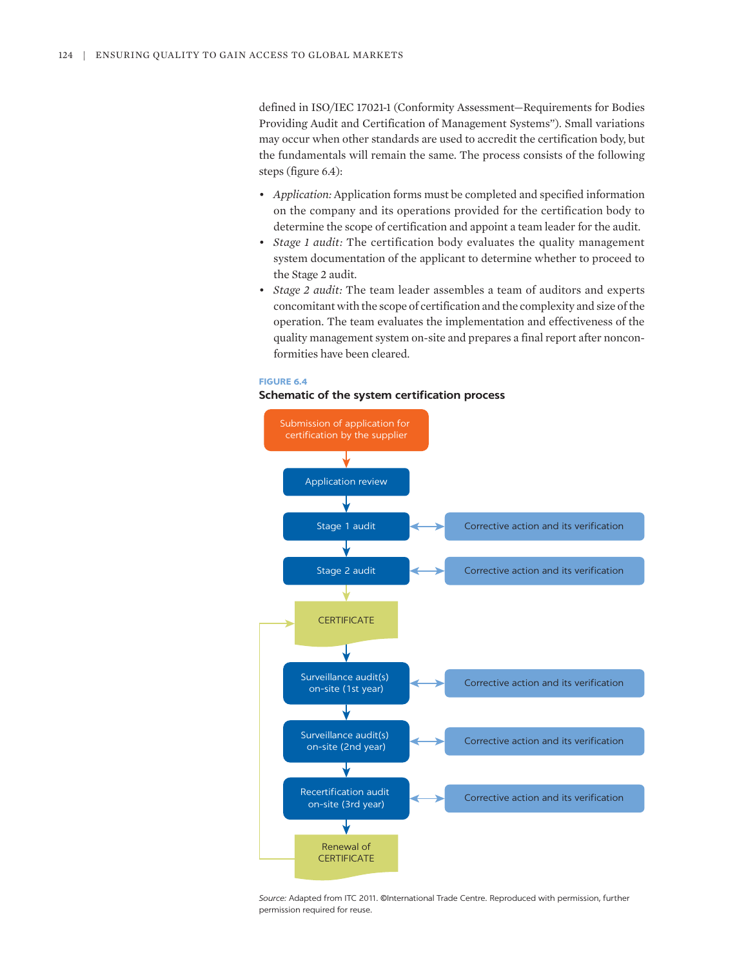defined in ISO/IEC 17021-1 (Conformity Assessment—Requirements for Bodies Providing Audit and Certification of Management Systems"). Small variations may occur when other standards are used to accredit the certification body, but the fundamentals will remain the same. The process consists of the following steps (figure 6.4):

- *Application:* Application forms must be completed and specified information on the company and its operations provided for the certification body to determine the scope of certification and appoint a team leader for the audit.
- *Stage 1 audit:* The certification body evaluates the quality management system documentation of the applicant to determine whether to proceed to the Stage 2 audit.
- *Stage 2 audit:* The team leader assembles a team of auditors and experts concomitant with the scope of certification and the complexity and size of the operation. The team evaluates the implementation and effectiveness of the quality management system on-site and prepares a final report after nonconformities have been cleared.

#### **FIGURE 6.4**

#### **Schematic of the system certification process**



*Source:* Adapted from ITC 2011. ©International Trade Centre. Reproduced with permission, further permission required for reuse.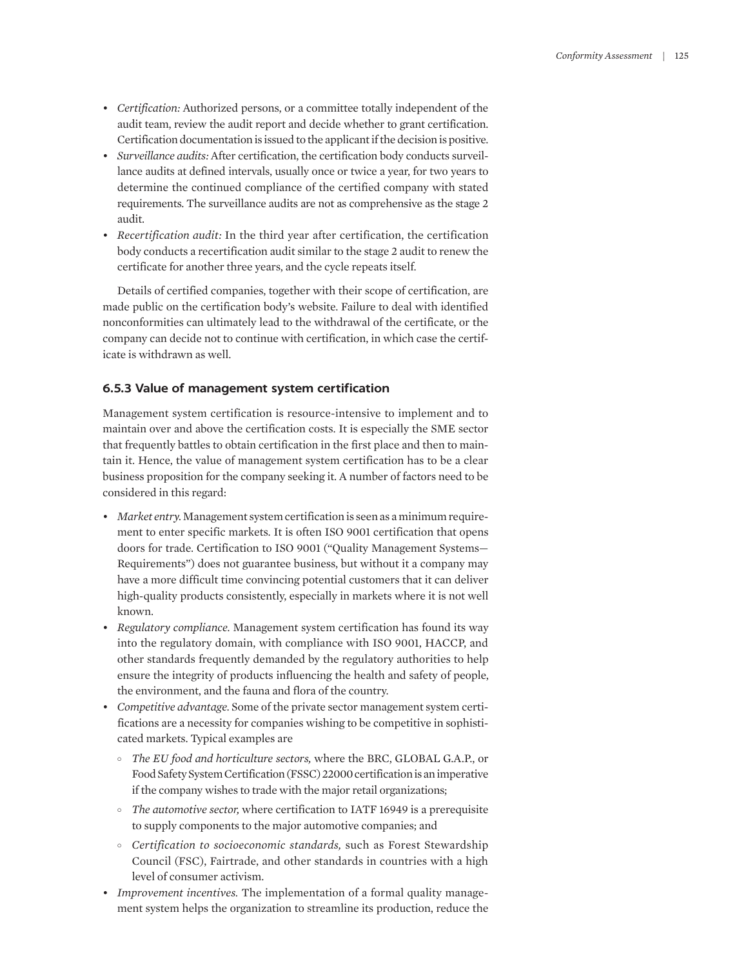- *Certification:* Authorized persons, or a committee totally independent of the audit team, review the audit report and decide whether to grant certification. Certification documentation is issued to the applicant if the decision is positive.
- *Surveillance audits:* After certification, the certification body conducts surveillance audits at defined intervals, usually once or twice a year, for two years to determine the continued compliance of the certified company with stated requirements. The surveillance audits are not as comprehensive as the stage 2 audit.
- *Recertification audit:* In the third year after certification, the certification body conducts a recertification audit similar to the stage 2 audit to renew the certificate for another three years, and the cycle repeats itself.

Details of certified companies, together with their scope of certification, are made public on the certification body's website. Failure to deal with identified nonconformities can ultimately lead to the withdrawal of the certificate, or the company can decide not to continue with certification, in which case the certificate is withdrawn as well.

## **6.5.3 Value of management system certification**

Management system certification is resource-intensive to implement and to maintain over and above the certification costs. It is especially the SME sector that frequently battles to obtain certification in the first place and then to maintain it. Hence, the value of management system certification has to be a clear business proposition for the company seeking it. A number of factors need to be considered in this regard:

- *Market entry.* Management system certification is seen as a minimum requirement to enter specific markets. It is often ISO 9001 certification that opens doors for trade. Certification to ISO 9001 ("Quality Management Systems— Requirements") does not guarantee business, but without it a company may have a more difficult time convincing potential customers that it can deliver high-quality products consistently, especially in markets where it is not well known.
- *Regulatory compliance.* Management system certification has found its way into the regulatory domain, with compliance with ISO 9001, HACCP, and other standards frequently demanded by the regulatory authorities to help ensure the integrity of products influencing the health and safety of people, the environment, and the fauna and flora of the country.
- *Competitive advantage.* Some of the private sector management system certifications are a necessity for companies wishing to be competitive in sophisticated markets. Typical examples are
	- ° *The EU food and horticulture sectors,* where the BRC, GLOBAL G.A.P., or Food Safety System Certification (FSSC) 22000 certification is an imperative if the company wishes to trade with the major retail organizations;
	- ° *The automotive sector,* where certification to IATF 16949 is a prerequisite to supply components to the major automotive companies; and
	- ° *Certification to socioeconomic standards,* such as Forest Stewardship Council (FSC), Fairtrade, and other standards in countries with a high level of consumer activism.
- *Improvement incentives.* The implementation of a formal quality management system helps the organization to streamline its production, reduce the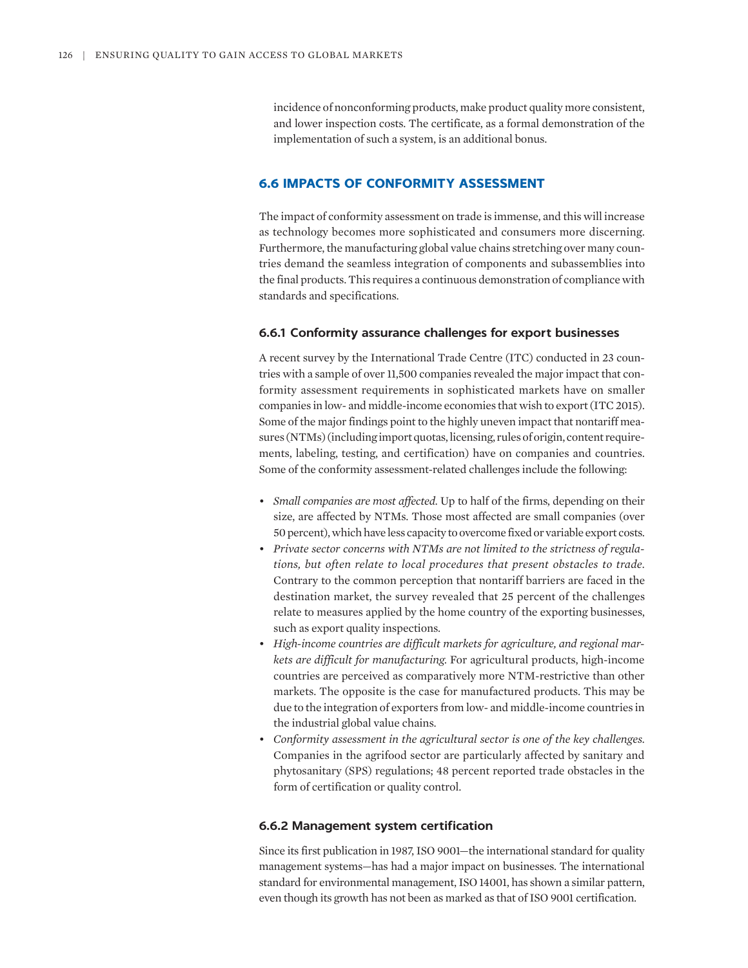incidence of nonconforming products, make product quality more consistent, and lower inspection costs. The certificate, as a formal demonstration of the implementation of such a system, is an additional bonus.

## **6.6 IMPACTS OF CONFORMITY ASSESSMENT**

The impact of conformity assessment on trade is immense, and this will increase as technology becomes more sophisticated and consumers more discerning. Furthermore, the manufacturing global value chains stretching over many countries demand the seamless integration of components and subassemblies into the final products. This requires a continuous demonstration of compliance with standards and specifications.

#### **6.6.1 Conformity assurance challenges for export businesses**

A recent survey by the International Trade Centre (ITC) conducted in 23 countries with a sample of over 11,500 companies revealed the major impact that conformity assessment requirements in sophisticated markets have on smaller companies in low- and middle-income economies that wish to export (ITC 2015). Some of the major findings point to the highly uneven impact that nontariff measures (NTMs) (including import quotas, licensing, rules of origin, content requirements, labeling, testing, and certification) have on companies and countries. Some of the conformity assessment-related challenges include the following:

- *Small companies are most affected.* Up to half of the firms, depending on their size, are affected by NTMs. Those most affected are small companies (over 50 percent), which have less capacity to overcome fixed or variable export costs.
- *Private sector concerns with NTMs are not limited to the strictness of regulations, but often relate to local procedures that present obstacles to trade.* Contrary to the common perception that nontariff barriers are faced in the destination market, the survey revealed that 25 percent of the challenges relate to measures applied by the home country of the exporting businesses, such as export quality inspections.
- *High-income countries are difficult markets for agriculture, and regional markets are difficult for manufacturing.* For agricultural products, high-income countries are perceived as comparatively more NTM-restrictive than other markets. The opposite is the case for manufactured products. This may be due to the integration of exporters from low- and middle-income countries in the industrial global value chains.
- *Conformity assessment in the agricultural sector is one of the key challenges.* Companies in the agrifood sector are particularly affected by sanitary and phytosanitary (SPS) regulations; 48 percent reported trade obstacles in the form of certification or quality control.

#### **6.6.2 Management system certification**

Since its first publication in 1987, ISO 9001—the international standard for quality management systems—has had a major impact on businesses. The international standard for environmental management, ISO 14001, has shown a similar pattern, even though its growth has not been as marked as that of ISO 9001 certification.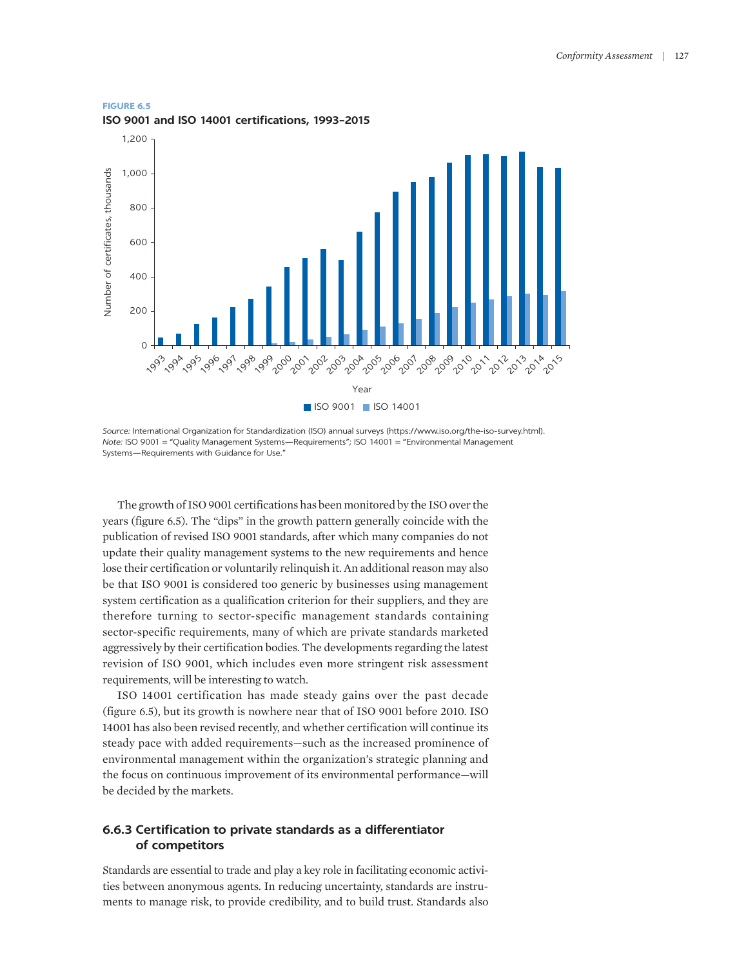#### **FIGURE 6.5**

**ISO 9001 and ISO 14001 certifications, 1993–2015**



*Source:* International Organization for Standardization (ISO) annual surveys [\(https://www.iso.org/the-iso-survey.html](https://www.iso.org/the-iso-survey.html)). *Note:* ISO 9001 = "Quality Management Systems—Requirements"; ISO 14001 = "Environmental Management Systems—Requirements with Guidance for Use."

The growth of ISO 9001 certifications has been monitored by the ISO over the years (figure 6.5). The "dips" in the growth pattern generally coincide with the publication of revised ISO 9001 standards, after which many companies do not update their quality management systems to the new requirements and hence lose their certification or voluntarily relinquish it. An additional reason may also be that ISO 9001 is considered too generic by businesses using management system certification as a qualification criterion for their suppliers, and they are therefore turning to sector-specific management standards containing sector-specific requirements, many of which are private standards marketed aggressively by their certification bodies. The developments regarding the latest revision of ISO 9001, which includes even more stringent risk assessment requirements, will be interesting to watch.

ISO 14001 certification has made steady gains over the past decade (figure 6.5), but its growth is nowhere near that of ISO 9001 before 2010. ISO 14001 has also been revised recently, and whether certification will continue its steady pace with added requirements—such as the increased prominence of environmental management within the organization's strategic planning and the focus on continuous improvement of its environmental performance—will be decided by the markets.

## **6.6.3 Certification to private standards as a differentiator of competitors**

Standards are essential to trade and play a key role in facilitating economic activities between anonymous agents. In reducing uncertainty, standards are instruments to manage risk, to provide credibility, and to build trust. Standards also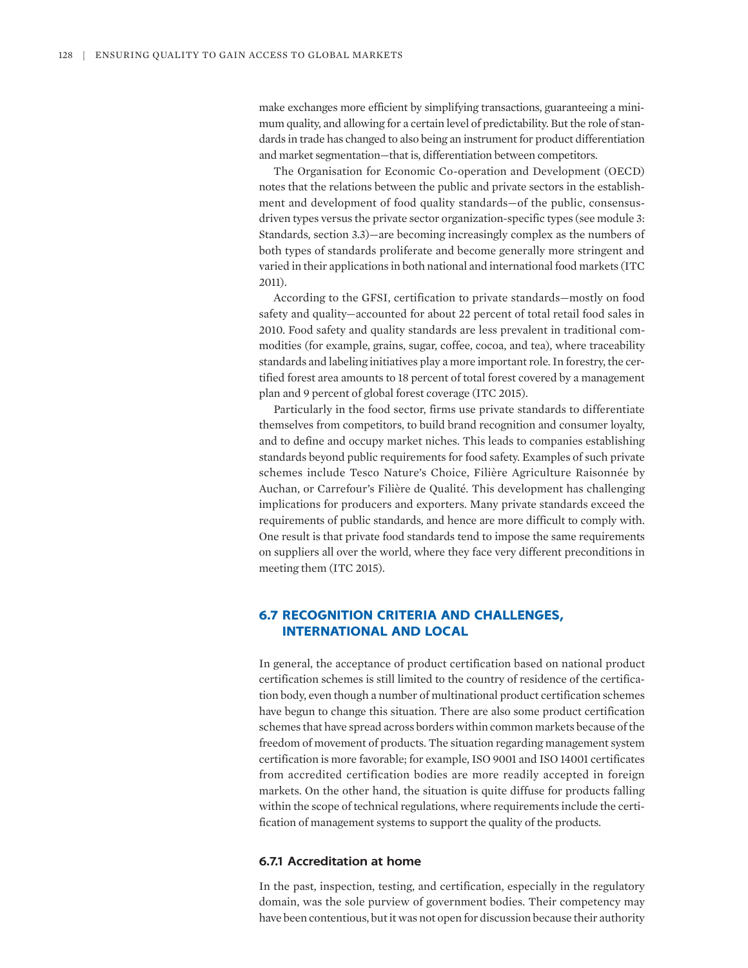make exchanges more efficient by simplifying transactions, guaranteeing a minimum quality, and allowing for a certain level of predictability. But the role of standards in trade has changed to also being an instrument for product differentiation and market segmentation—that is, differentiation between competitors.

The Organisation for Economic Co-operation and Development (OECD) notes that the relations between the public and private sectors in the establishment and development of food quality standards—of the public, consensusdriven types versus the private sector organization-specific types (see module 3: Standards, section 3.3)—are becoming increasingly complex as the numbers of both types of standards proliferate and become generally more stringent and varied in their applications in both national and international food markets (ITC 2011).

According to the GFSI, certification to private standards—mostly on food safety and quality—accounted for about 22 percent of total retail food sales in 2010. Food safety and quality standards are less prevalent in traditional commodities (for example, grains, sugar, coffee, cocoa, and tea), where traceability standards and labeling initiatives play a more important role. In forestry, the certified forest area amounts to 18 percent of total forest covered by a management plan and 9 percent of global forest coverage (ITC 2015).

Particularly in the food sector, firms use private standards to differentiate themselves from competitors, to build brand recognition and consumer loyalty, and to define and occupy market niches. This leads to companies establishing standards beyond public requirements for food safety. Examples of such private schemes include Tesco Nature's Choice, Filière Agriculture Raisonnée by Auchan, or Carrefour's Filière de Qualité. This development has challenging implications for producers and exporters. Many private standards exceed the requirements of public standards, and hence are more difficult to comply with. One result is that private food standards tend to impose the same requirements on suppliers all over the world, where they face very different preconditions in meeting them (ITC 2015).

# **6.7 RECOGNITION CRITERIA AND CHALLENGES, INTERNATIONAL AND LOCAL**

In general, the acceptance of product certification based on national product certification schemes is still limited to the country of residence of the certification body, even though a number of multinational product certification schemes have begun to change this situation. There are also some product certification schemes that have spread across borders within common markets because of the freedom of movement of products. The situation regarding management system certification is more favorable; for example, ISO 9001 and ISO 14001 certificates from accredited certification bodies are more readily accepted in foreign markets. On the other hand, the situation is quite diffuse for products falling within the scope of technical regulations, where requirements include the certification of management systems to support the quality of the products.

#### **6.7.1 Accreditation at home**

In the past, inspection, testing, and certification, especially in the regulatory domain, was the sole purview of government bodies. Their competency may have been contentious, but it was not open for discussion because their authority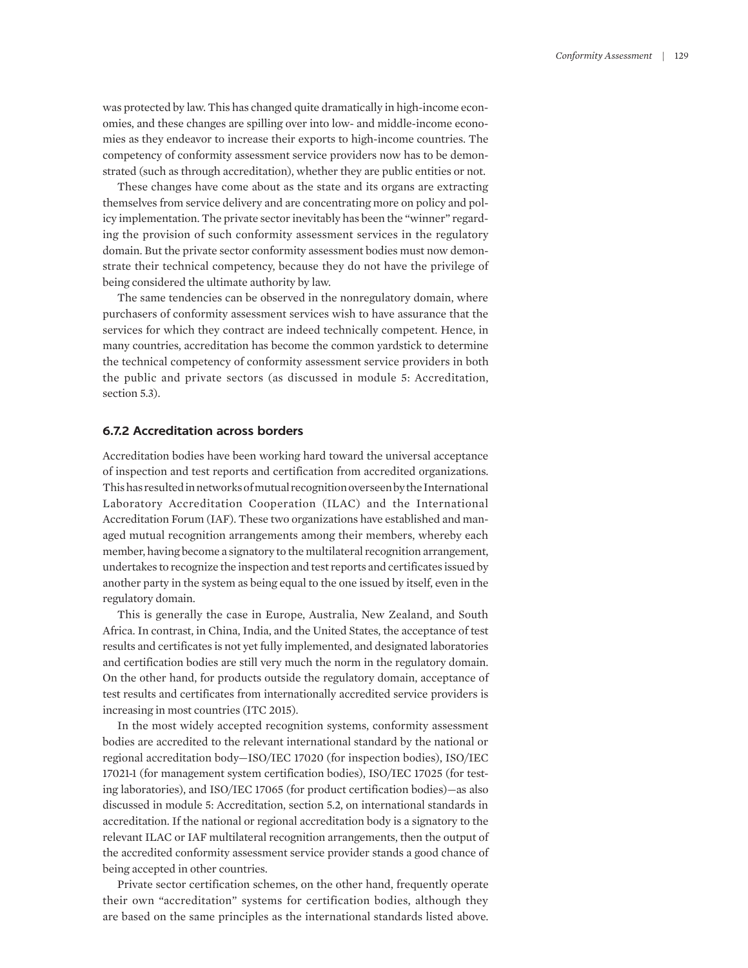was protected by law. This has changed quite dramatically in high-income economies, and these changes are spilling over into low- and middle-income economies as they endeavor to increase their exports to high-income countries. The competency of conformity assessment service providers now has to be demonstrated (such as through accreditation), whether they are public entities or not.

These changes have come about as the state and its organs are extracting themselves from service delivery and are concentrating more on policy and policy implementation. The private sector inevitably has been the "winner" regarding the provision of such conformity assessment services in the regulatory domain. But the private sector conformity assessment bodies must now demonstrate their technical competency, because they do not have the privilege of being considered the ultimate authority by law.

The same tendencies can be observed in the nonregulatory domain, where purchasers of conformity assessment services wish to have assurance that the services for which they contract are indeed technically competent. Hence, in many countries, accreditation has become the common yardstick to determine the technical competency of conformity assessment service providers in both the public and private sectors (as discussed in module 5: Accreditation, section 5.3).

# **6.7.2 Accreditation across borders**

Accreditation bodies have been working hard toward the universal acceptance of inspection and test reports and certification from accredited organizations. This has resulted in networks of mutual recognition overseen by the International Laboratory Accreditation Cooperation (ILAC) and the International Accreditation Forum (IAF). These two organizations have established and managed mutual recognition arrangements among their members, whereby each member, having become a signatory to the multilateral recognition arrangement, undertakes to recognize the inspection and test reports and certificates issued by another party in the system as being equal to the one issued by itself, even in the regulatory domain.

This is generally the case in Europe, Australia, New Zealand, and South Africa. In contrast, in China, India, and the United States, the acceptance of test results and certificates is not yet fully implemented, and designated laboratories and certification bodies are still very much the norm in the regulatory domain. On the other hand, for products outside the regulatory domain, acceptance of test results and certificates from internationally accredited service providers is increasing in most countries (ITC 2015).

In the most widely accepted recognition systems, conformity assessment bodies are accredited to the relevant international standard by the national or regional accreditation body—ISO/IEC 17020 (for inspection bodies), ISO/IEC 17021-1 (for management system certification bodies), ISO/IEC 17025 (for testing laboratories), and ISO/IEC 17065 (for product certification bodies)—as also discussed in module 5: Accreditation, section 5.2, on international standards in accreditation. If the national or regional accreditation body is a signatory to the relevant ILAC or IAF multilateral recognition arrangements, then the output of the accredited conformity assessment service provider stands a good chance of being accepted in other countries.

Private sector certification schemes, on the other hand, frequently operate their own "accreditation" systems for certification bodies, although they are based on the same principles as the international standards listed above.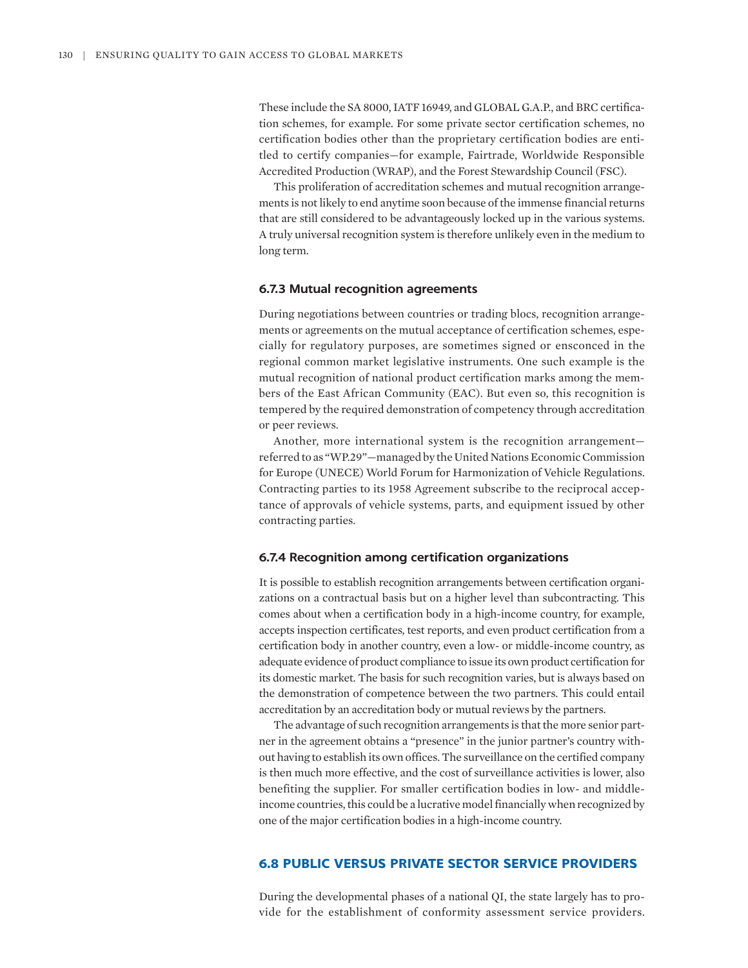These include the SA 8000, IATF 16949, and GLOBAL G.A.P., and BRC certification schemes, for example. For some private sector certification schemes, no certification bodies other than the proprietary certification bodies are entitled to certify companies—for example, Fairtrade, Worldwide Responsible Accredited Production (WRAP), and the Forest Stewardship Council (FSC).

This proliferation of accreditation schemes and mutual recognition arrangements is not likely to end anytime soon because of the immense financial returns that are still considered to be advantageously locked up in the various systems. A truly universal recognition system is therefore unlikely even in the medium to long term.

#### **6.7.3 Mutual recognition agreements**

During negotiations between countries or trading blocs, recognition arrangements or agreements on the mutual acceptance of certification schemes, especially for regulatory purposes, are sometimes signed or ensconced in the regional common market legislative instruments. One such example is the mutual recognition of national product certification marks among the members of the East African Community (EAC). But even so, this recognition is tempered by the required demonstration of competency through accreditation or peer reviews.

Another, more international system is the recognition arrangement referred to as "WP.29"—managed by the United Nations Economic Commission for Europe (UNECE) World Forum for Harmonization of Vehicle Regulations. Contracting parties to its 1958 Agreement subscribe to the reciprocal acceptance of approvals of vehicle systems, parts, and equipment issued by other contracting parties.

#### **6.7.4 Recognition among certification organizations**

It is possible to establish recognition arrangements between certification organizations on a contractual basis but on a higher level than subcontracting. This comes about when a certification body in a high-income country, for example, accepts inspection certificates, test reports, and even product certification from a certification body in another country, even a low- or middle-income country, as adequate evidence of product compliance to issue its own product certification for its domestic market. The basis for such recognition varies, but is always based on the demonstration of competence between the two partners. This could entail accreditation by an accreditation body or mutual reviews by the partners.

The advantage of such recognition arrangements is that the more senior partner in the agreement obtains a "presence" in the junior partner's country without having to establish its own offices. The surveillance on the certified company is then much more effective, and the cost of surveillance activities is lower, also benefiting the supplier. For smaller certification bodies in low- and middleincome countries, this could be a lucrative model financially when recognized by one of the major certification bodies in a high-income country.

## **6.8 PUBLIC VERSUS PRIVATE SECTOR SERVICE PROVIDERS**

During the developmental phases of a national QI, the state largely has to provide for the establishment of conformity assessment service providers.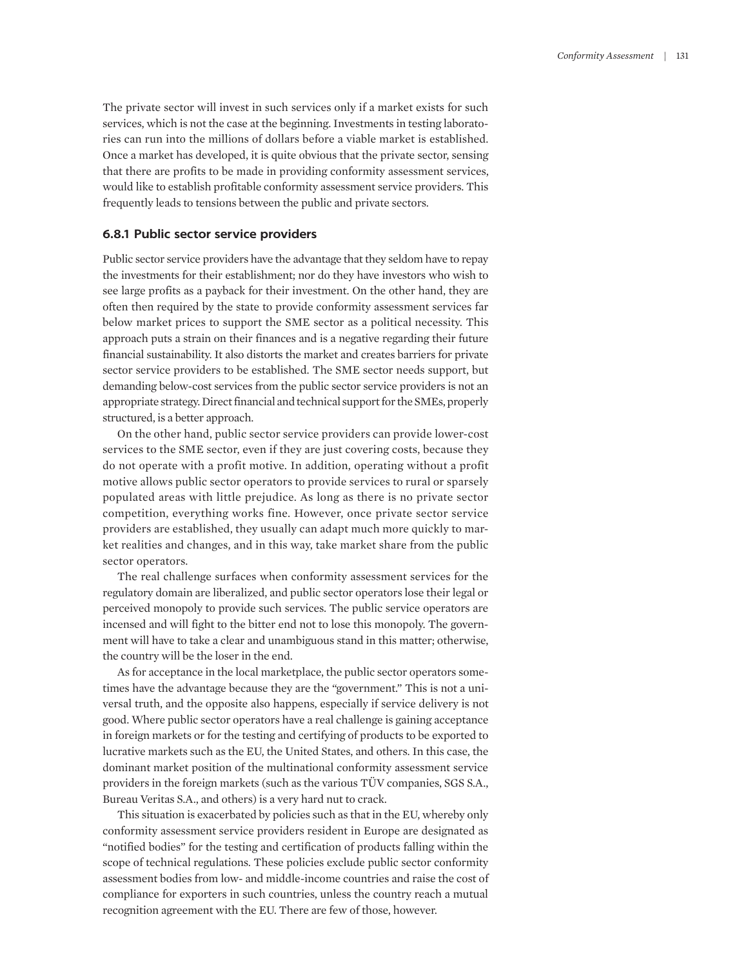The private sector will invest in such services only if a market exists for such services, which is not the case at the beginning. Investments in testing laboratories can run into the millions of dollars before a viable market is established. Once a market has developed, it is quite obvious that the private sector, sensing that there are profits to be made in providing conformity assessment services, would like to establish profitable conformity assessment service providers. This frequently leads to tensions between the public and private sectors.

#### **6.8.1 Public sector service providers**

Public sector service providers have the advantage that they seldom have to repay the investments for their establishment; nor do they have investors who wish to see large profits as a payback for their investment. On the other hand, they are often then required by the state to provide conformity assessment services far below market prices to support the SME sector as a political necessity. This approach puts a strain on their finances and is a negative regarding their future financial sustainability. It also distorts the market and creates barriers for private sector service providers to be established. The SME sector needs support, but demanding below-cost services from the public sector service providers is not an appropriate strategy. Direct financial and technical support for the SMEs, properly structured, is a better approach.

On the other hand, public sector service providers can provide lower-cost services to the SME sector, even if they are just covering costs, because they do not operate with a profit motive. In addition, operating without a profit motive allows public sector operators to provide services to rural or sparsely populated areas with little prejudice. As long as there is no private sector competition, everything works fine. However, once private sector service providers are established, they usually can adapt much more quickly to market realities and changes, and in this way, take market share from the public sector operators.

The real challenge surfaces when conformity assessment services for the regulatory domain are liberalized, and public sector operators lose their legal or perceived monopoly to provide such services. The public service operators are incensed and will fight to the bitter end not to lose this monopoly. The government will have to take a clear and unambiguous stand in this matter; otherwise, the country will be the loser in the end.

As for acceptance in the local marketplace, the public sector operators sometimes have the advantage because they are the "government." This is not a universal truth, and the opposite also happens, especially if service delivery is not good. Where public sector operators have a real challenge is gaining acceptance in foreign markets or for the testing and certifying of products to be exported to lucrative markets such as the EU, the United States, and others. In this case, the dominant market position of the multinational conformity assessment service providers in the foreign markets (such as the various TÜV companies, SGS S.A., Bureau Veritas S.A., and others) is a very hard nut to crack.

This situation is exacerbated by policies such as that in the EU, whereby only conformity assessment service providers resident in Europe are designated as "notified bodies" for the testing and certification of products falling within the scope of technical regulations. These policies exclude public sector conformity assessment bodies from low- and middle-income countries and raise the cost of compliance for exporters in such countries, unless the country reach a mutual recognition agreement with the EU. There are few of those, however.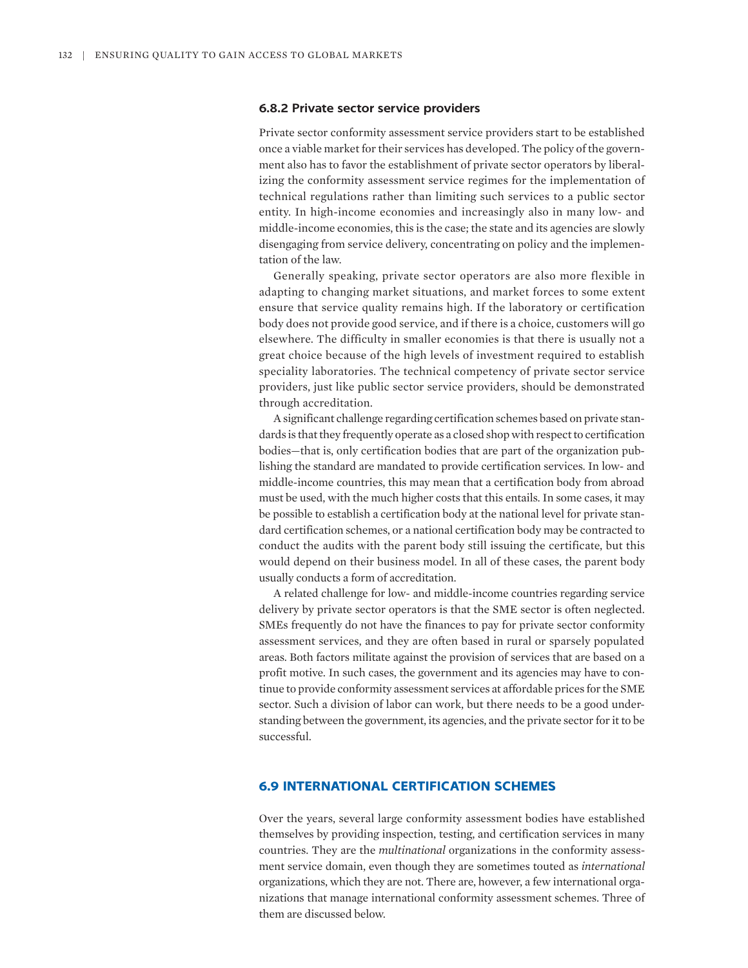#### **6.8.2 Private sector service providers**

Private sector conformity assessment service providers start to be established once a viable market for their services has developed. The policy of the government also has to favor the establishment of private sector operators by liberalizing the conformity assessment service regimes for the implementation of technical regulations rather than limiting such services to a public sector entity. In high-income economies and increasingly also in many low- and middle-income economies, this is the case; the state and its agencies are slowly disengaging from service delivery, concentrating on policy and the implementation of the law.

Generally speaking, private sector operators are also more flexible in adapting to changing market situations, and market forces to some extent ensure that service quality remains high. If the laboratory or certification body does not provide good service, and if there is a choice, customers will go elsewhere. The difficulty in smaller economies is that there is usually not a great choice because of the high levels of investment required to establish speciality laboratories. The technical competency of private sector service providers, just like public sector service providers, should be demonstrated through accreditation.

A significant challenge regarding certification schemes based on private standards is that they frequently operate as a closed shop with respect to certification bodies—that is, only certification bodies that are part of the organization publishing the standard are mandated to provide certification services. In low- and middle-income countries, this may mean that a certification body from abroad must be used, with the much higher costs that this entails. In some cases, it may be possible to establish a certification body at the national level for private standard certification schemes, or a national certification body may be contracted to conduct the audits with the parent body still issuing the certificate, but this would depend on their business model. In all of these cases, the parent body usually conducts a form of accreditation.

A related challenge for low- and middle-income countries regarding service delivery by private sector operators is that the SME sector is often neglected. SMEs frequently do not have the finances to pay for private sector conformity assessment services, and they are often based in rural or sparsely populated areas. Both factors militate against the provision of services that are based on a profit motive. In such cases, the government and its agencies may have to continue to provide conformity assessment services at affordable prices for the SME sector. Such a division of labor can work, but there needs to be a good understanding between the government, its agencies, and the private sector for it to be successful.

## **6.9 INTERNATIONAL CERTIFICATION SCHEMES**

Over the years, several large conformity assessment bodies have established themselves by providing inspection, testing, and certification services in many countries. They are the *multinational* organizations in the conformity assessment service domain, even though they are sometimes touted as *international* organizations, which they are not. There are, however, a few international organizations that manage international conformity assessment schemes. Three of them are discussed below.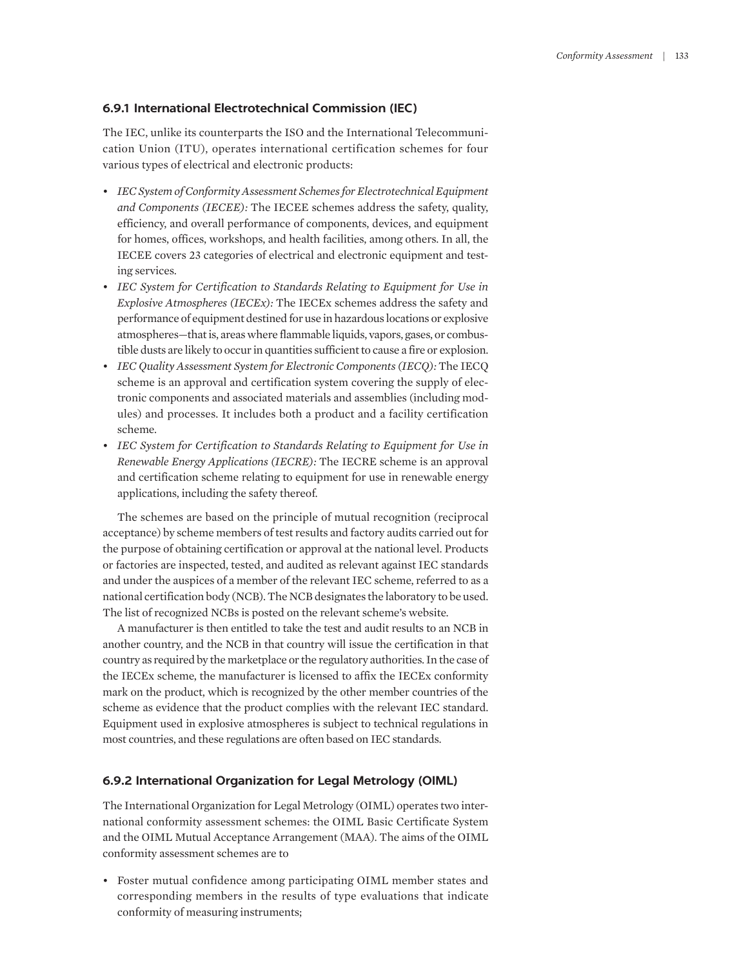#### **6.9.1 International Electrotechnical Commission (IEC)**

The IEC, unlike its counterparts the ISO and the International Telecommunication Union (ITU), operates international certification schemes for four various types of electrical and electronic products:

- *IEC System of Conformity Assessment Schemes for Electrotechnical Equipment and Components (IECEE):* The IECEE schemes address the safety, quality, efficiency, and overall performance of components, devices, and equipment for homes, offices, workshops, and health facilities, among others. In all, the IECEE covers 23 categories of electrical and electronic equipment and testing services.
- *IEC System for Certification to Standards Relating to Equipment for Use in Explosive Atmospheres (IECEx):* The IECEx schemes address the safety and performance of equipment destined for use in hazardous locations or explosive atmospheres—that is, areas where flammable liquids, vapors, gases, or combustible dusts are likely to occur in quantities sufficient to cause a fire or explosion.
- *IEC Quality Assessment System for Electronic Components (IECQ):* The IECQ scheme is an approval and certification system covering the supply of electronic components and associated materials and assemblies (including modules) and processes. It includes both a product and a facility certification scheme.
- *IEC System for Certification to Standards Relating to Equipment for Use in Renewable Energy Applications (IECRE):* The IECRE scheme is an approval and certification scheme relating to equipment for use in renewable energy applications, including the safety thereof.

The schemes are based on the principle of mutual recognition (reciprocal acceptance) by scheme members of test results and factory audits carried out for the purpose of obtaining certification or approval at the national level. Products or factories are inspected, tested, and audited as relevant against IEC standards and under the auspices of a member of the relevant IEC scheme, referred to as a national certification body (NCB). The NCB designates the laboratory to be used. The list of recognized NCBs is posted on the relevant scheme's website.

A manufacturer is then entitled to take the test and audit results to an NCB in another country, and the NCB in that country will issue the certification in that country as required by the marketplace or the regulatory authorities. In the case of the IECEx scheme, the manufacturer is licensed to affix the IECEx conformity mark on the product, which is recognized by the other member countries of the scheme as evidence that the product complies with the relevant IEC standard. Equipment used in explosive atmospheres is subject to technical regulations in most countries, and these regulations are often based on IEC standards.

#### **6.9.2 International Organization for Legal Metrology (OIML)**

The International Organization for Legal Metrology (OIML) operates two international conformity assessment schemes: the OIML Basic Certificate System and the OIML Mutual Acceptance Arrangement (MAA). The aims of the OIML conformity assessment schemes are to

• Foster mutual confidence among participating OIML member states and corresponding members in the results of type evaluations that indicate conformity of measuring instruments;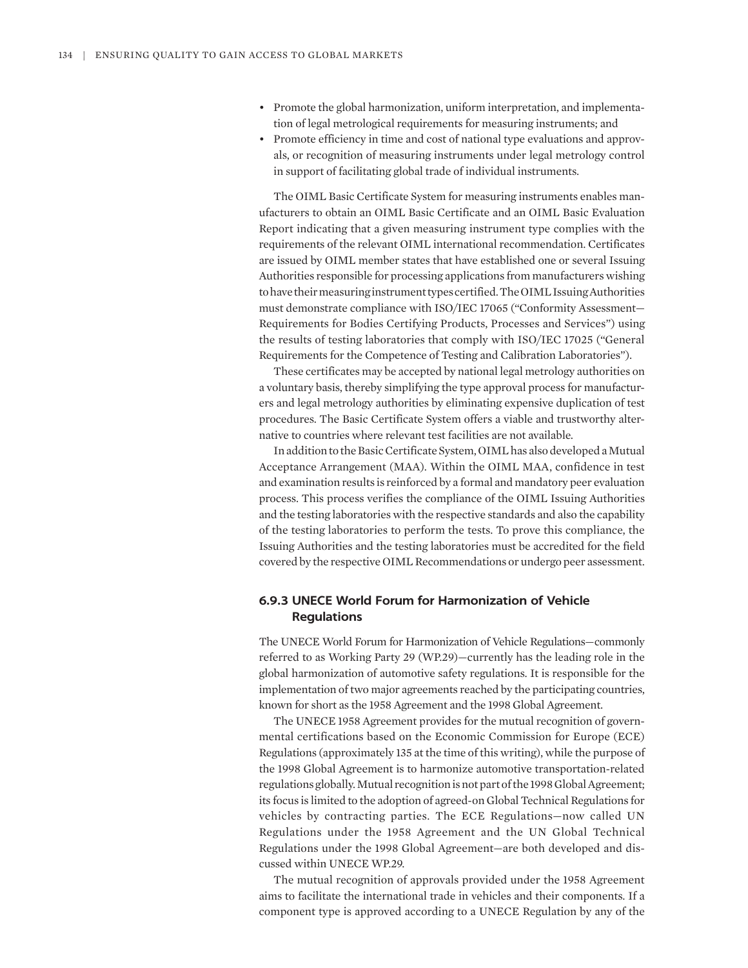- Promote the global harmonization, uniform interpretation, and implementation of legal metrological requirements for measuring instruments; and
- Promote efficiency in time and cost of national type evaluations and approvals, or recognition of measuring instruments under legal metrology control in support of facilitating global trade of individual instruments.

The OIML Basic Certificate System for measuring instruments enables manufacturers to obtain an OIML Basic Certificate and an OIML Basic Evaluation Report indicating that a given measuring instrument type complies with the requirements of the relevant OIML international recommendation. Certificates are issued by OIML member states that have established one or several Issuing Authorities responsible for processing applications from manufacturers wishing to have their measuring instrument types certified. The OIML Issuing Authorities must demonstrate compliance with ISO/IEC 17065 ("Conformity Assessment— Requirements for Bodies Certifying Products, Processes and Services") using the results of testing laboratories that comply with ISO/IEC 17025 ("General Requirements for the Competence of Testing and Calibration Laboratories").

These certificates may be accepted by national legal metrology authorities on a voluntary basis, thereby simplifying the type approval process for manufacturers and legal metrology authorities by eliminating expensive duplication of test procedures. The Basic Certificate System offers a viable and trustworthy alternative to countries where relevant test facilities are not available.

In addition to the Basic Certificate System, OIML has also developed a Mutual Acceptance Arrangement (MAA). Within the OIML MAA, confidence in test and examination results is reinforced by a formal and mandatory peer evaluation process. This process verifies the compliance of the OIML Issuing Authorities and the testing laboratories with the respective standards and also the capability of the testing laboratories to perform the tests. To prove this compliance, the Issuing Authorities and the testing laboratories must be accredited for the field covered by the respective OIML Recommendations or undergo peer assessment.

# **6.9.3 UNECE World Forum for Harmonization of Vehicle Regulations**

The UNECE World Forum for Harmonization of Vehicle Regulations—commonly referred to as Working Party 29 (WP.29)—currently has the leading role in the global harmonization of automotive safety regulations. It is responsible for the implementation of two major agreements reached by the participating countries, known for short as the 1958 Agreement and the 1998 Global Agreement.

The UNECE 1958 Agreement provides for the mutual recognition of governmental certifications based on the Economic Commission for Europe (ECE) Regulations (approximately 135 at the time of this writing), while the purpose of the 1998 Global Agreement is to harmonize automotive transportation-related regulations globally. Mutual recognition is not part of the 1998 Global Agreement; its focus is limited to the adoption of agreed-on Global Technical Regulations for vehicles by contracting parties. The ECE Regulations—now called UN Regulations under the 1958 Agreement and the UN Global Technical Regulations under the 1998 Global Agreement—are both developed and discussed within UNECE WP.29.

The mutual recognition of approvals provided under the 1958 Agreement aims to facilitate the international trade in vehicles and their components. If a component type is approved according to a UNECE Regulation by any of the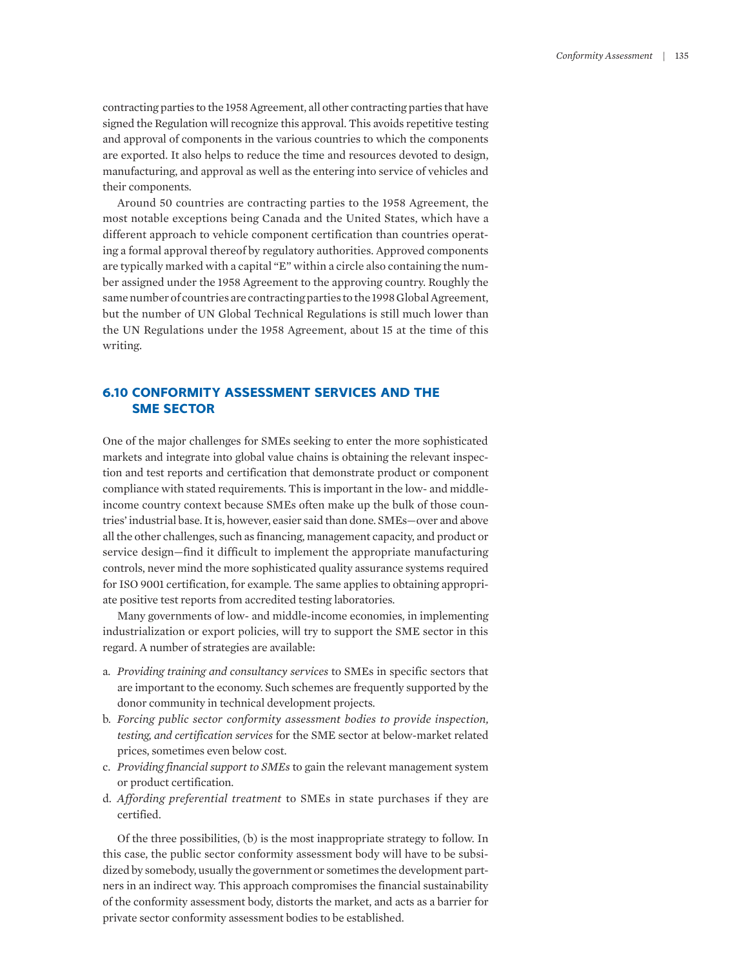contracting parties to the 1958 Agreement, all other contracting parties that have signed the Regulation will recognize this approval. This avoids repetitive testing and approval of components in the various countries to which the components are exported. It also helps to reduce the time and resources devoted to design, manufacturing, and approval as well as the entering into service of vehicles and their components.

Around 50 countries are contracting parties to the 1958 Agreement, the most notable exceptions being Canada and the United States, which have a different approach to vehicle component certification than countries operating a formal approval thereof by regulatory authorities. Approved components are typically marked with a capital "E" within a circle also containing the number assigned under the 1958 Agreement to the approving country. Roughly the same number of countries are contracting parties to the 1998 Global Agreement, but the number of UN Global Technical Regulations is still much lower than the UN Regulations under the 1958 Agreement, about 15 at the time of this writing.

# **6.10 CONFORMITY ASSESSMENT SERVICES AND THE SME SECTOR**

One of the major challenges for SMEs seeking to enter the more sophisticated markets and integrate into global value chains is obtaining the relevant inspection and test reports and certification that demonstrate product or component compliance with stated requirements. This is important in the low- and middleincome country context because SMEs often make up the bulk of those countries' industrial base. It is, however, easier said than done. SMEs—over and above all the other challenges, such as financing, management capacity, and product or service design—find it difficult to implement the appropriate manufacturing controls, never mind the more sophisticated quality assurance systems required for ISO 9001 certification, for example. The same applies to obtaining appropriate positive test reports from accredited testing laboratories.

Many governments of low- and middle-income economies, in implementing industrialization or export policies, will try to support the SME sector in this regard. A number of strategies are available:

- a. *Providing training and consultancy services* to SMEs in specific sectors that are important to the economy. Such schemes are frequently supported by the donor community in technical development projects.
- b. *Forcing public sector conformity assessment bodies to provide inspection, testing, and certification services* for the SME sector at below-market related prices, sometimes even below cost.
- c. *Providing financial support to SMEs* to gain the relevant management system or product certification.
- d. *Affording preferential treatment* to SMEs in state purchases if they are certified.

Of the three possibilities, (b) is the most inappropriate strategy to follow. In this case, the public sector conformity assessment body will have to be subsidized by somebody, usually the government or sometimes the development partners in an indirect way. This approach compromises the financial sustainability of the conformity assessment body, distorts the market, and acts as a barrier for private sector conformity assessment bodies to be established.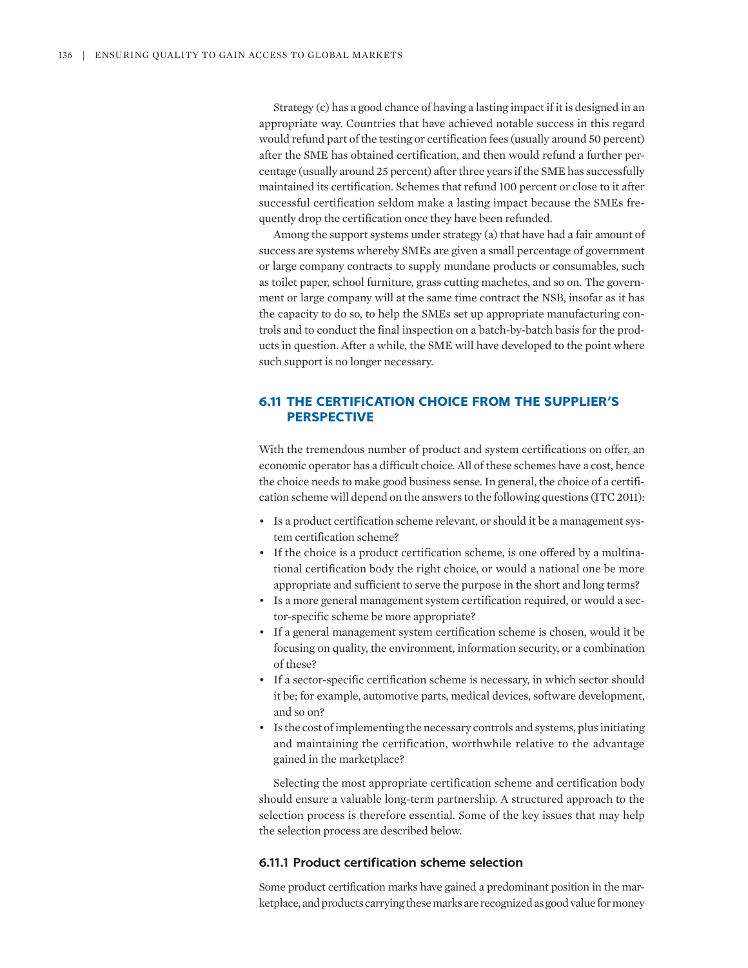Strategy (c) has a good chance of having a lasting impact if it is designed in an appropriate way. Countries that have achieved notable success in this regard would refund part of the testing or certification fees (usually around 50 percent) after the SME has obtained certification, and then would refund a further percentage (usually around 25 percent) after three years if the SME has successfully maintained its certification. Schemes that refund 100 percent or close to it after successful certification seldom make a lasting impact because the SMEs frequently drop the certification once they have been refunded.

Among the support systems under strategy (a) that have had a fair amount of success are systems whereby SMEs are given a small percentage of government or large company contracts to supply mundane products or consumables, such as toilet paper, school furniture, grass cutting machetes, and so on. The government or large company will at the same time contract the NSB, insofar as it has the capacity to do so, to help the SMEs set up appropriate manufacturing controls and to conduct the final inspection on a batch-by-batch basis for the products in question. After a while, the SME will have developed to the point where such support is no longer necessary.

# **6.11 THE CERTIFICATION CHOICE FROM THE SUPPLIER'S PERSPECTIVE**

With the tremendous number of product and system certifications on offer, an economic operator has a difficult choice. All of these schemes have a cost, hence the choice needs to make good business sense. In general, the choice of a certification scheme will depend on the answers to the following questions (ITC 2011):

- Is a product certification scheme relevant, or should it be a management system certification scheme?
- If the choice is a product certification scheme, is one offered by a multinational certification body the right choice, or would a national one be more appropriate and sufficient to serve the purpose in the short and long terms?
- Is a more general management system certification required, or would a sector-specific scheme be more appropriate?
- If a general management system certification scheme is chosen, would it be focusing on quality, the environment, information security, or a combination of these?
- If a sector-specific certification scheme is necessary, in which sector should it be; for example, automotive parts, medical devices, software development, and so on?
- Is the cost of implementing the necessary controls and systems, plus initiating and maintaining the certification, worthwhile relative to the advantage gained in the marketplace?

Selecting the most appropriate certification scheme and certification body should ensure a valuable long-term partnership. A structured approach to the selection process is therefore essential. Some of the key issues that may help the selection process are described below.

## **6.11.1 Product certification scheme selection**

Some product certification marks have gained a predominant position in the marketplace, and products carrying these marks are recognized as good value for money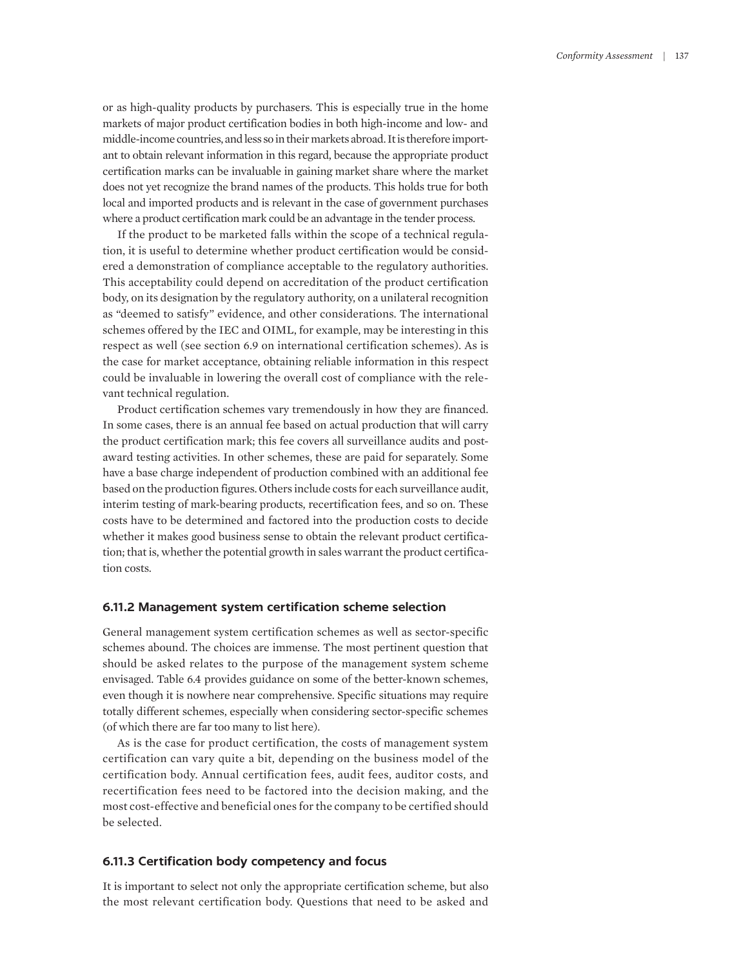or as high-quality products by purchasers. This is especially true in the home markets of major product certification bodies in both high-income and low- and middle-income countries, and less so in their markets abroad. It is therefore important to obtain relevant information in this regard, because the appropriate product certification marks can be invaluable in gaining market share where the market does not yet recognize the brand names of the products. This holds true for both local and imported products and is relevant in the case of government purchases where a product certification mark could be an advantage in the tender process.

If the product to be marketed falls within the scope of a technical regulation, it is useful to determine whether product certification would be considered a demonstration of compliance acceptable to the regulatory authorities. This acceptability could depend on accreditation of the product certification body, on its designation by the regulatory authority, on a unilateral recognition as "deemed to satisfy" evidence, and other considerations. The international schemes offered by the IEC and OIML, for example, may be interesting in this respect as well (see section 6.9 on international certification schemes). As is the case for market acceptance, obtaining reliable information in this respect could be invaluable in lowering the overall cost of compliance with the relevant technical regulation.

Product certification schemes vary tremendously in how they are financed. In some cases, there is an annual fee based on actual production that will carry the product certification mark; this fee covers all surveillance audits and postaward testing activities. In other schemes, these are paid for separately. Some have a base charge independent of production combined with an additional fee based on the production figures. Others include costs for each surveillance audit, interim testing of mark-bearing products, recertification fees, and so on. These costs have to be determined and factored into the production costs to decide whether it makes good business sense to obtain the relevant product certification; that is, whether the potential growth in sales warrant the product certification costs.

#### **6.11.2 Management system certification scheme selection**

General management system certification schemes as well as sector-specific schemes abound. The choices are immense. The most pertinent question that should be asked relates to the purpose of the management system scheme envisaged. Table 6.4 provides guidance on some of the better-known schemes, even though it is nowhere near comprehensive. Specific situations may require totally different schemes, especially when considering sector-specific schemes (of which there are far too many to list here).

As is the case for product certification, the costs of management system certification can vary quite a bit, depending on the business model of the certification body. Annual certification fees, audit fees, auditor costs, and recertification fees need to be factored into the decision making, and the most cost-effective and beneficial ones for the company to be certified should be selected.

#### **6.11.3 Certification body competency and focus**

It is important to select not only the appropriate certification scheme, but also the most relevant certification body. Questions that need to be asked and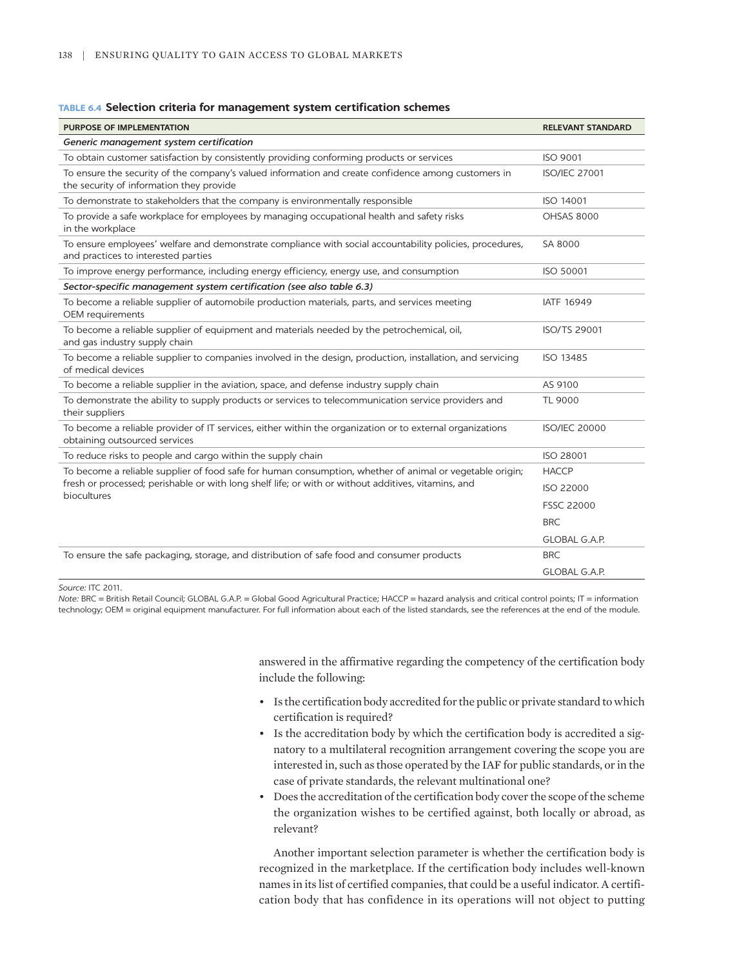#### **TABLE 6.4 Selection criteria for management system certification schemes**

| <b>PURPOSE OF IMPLEMENTATION</b>                                                                                                                | <b>RELEVANT STANDARD</b> |
|-------------------------------------------------------------------------------------------------------------------------------------------------|--------------------------|
| Generic management system certification                                                                                                         |                          |
| To obtain customer satisfaction by consistently providing conforming products or services                                                       | ISO 9001                 |
| To ensure the security of the company's valued information and create confidence among customers in<br>the security of information they provide | <b>ISO/IEC 27001</b>     |
| To demonstrate to stakeholders that the company is environmentally responsible                                                                  | ISO 14001                |
| To provide a safe workplace for employees by managing occupational health and safety risks<br>in the workplace                                  | <b>OHSAS 8000</b>        |
| To ensure employees' welfare and demonstrate compliance with social accountability policies, procedures,<br>and practices to interested parties | SA 8000                  |
| To improve energy performance, including energy efficiency, energy use, and consumption                                                         | <b>ISO 50001</b>         |
| Sector-specific management system certification (see also table 6.3)                                                                            |                          |
| To become a reliable supplier of automobile production materials, parts, and services meeting<br>OEM requirements                               | <b>IATF 16949</b>        |
| To become a reliable supplier of equipment and materials needed by the petrochemical, oil,<br>and gas industry supply chain                     | ISO/TS 29001             |
| To become a reliable supplier to companies involved in the design, production, installation, and servicing<br>of medical devices                | ISO 13485                |
| To become a reliable supplier in the aviation, space, and defense industry supply chain                                                         | AS 9100                  |
| To demonstrate the ability to supply products or services to telecommunication service providers and<br>their suppliers                         | <b>TL 9000</b>           |
| To become a reliable provider of IT services, either within the organization or to external organizations<br>obtaining outsourced services      | <b>ISO/IEC 20000</b>     |
| To reduce risks to people and cargo within the supply chain                                                                                     | ISO 28001                |
| To become a reliable supplier of food safe for human consumption, whether of animal or vegetable origin;                                        | <b>HACCP</b>             |
| fresh or processed; perishable or with long shelf life; or with or without additives, vitamins, and<br>biocultures                              | <b>ISO 22000</b>         |
|                                                                                                                                                 | <b>FSSC 22000</b>        |
|                                                                                                                                                 | <b>BRC</b>               |
|                                                                                                                                                 | <b>GLOBAL G.A.P.</b>     |
| To ensure the safe packaging, storage, and distribution of safe food and consumer products                                                      | <b>BRC</b>               |
|                                                                                                                                                 | GLOBAL G.A.P.            |

*Source:* ITC 2011.

*Note:* BRC = British Retail Council; GLOBAL G.A.P. = Global Good Agricultural Practice; HACCP = hazard analysis and critical control points; IT = information technology; OEM = original equipment manufacturer. For full information about each of the listed standards, see the references at the end of the module.

> answered in the affirmative regarding the competency of the certification body include the following:

- Is the certification body accredited for the public or private standard to which certification is required?
- Is the accreditation body by which the certification body is accredited a signatory to a multilateral recognition arrangement covering the scope you are interested in, such as those operated by the IAF for public standards, or in the case of private standards, the relevant multinational one?
- Does the accreditation of the certification body cover the scope of the scheme the organization wishes to be certified against, both locally or abroad, as relevant?

Another important selection parameter is whether the certification body is recognized in the marketplace. If the certification body includes well-known names in its list of certified companies, that could be a useful indicator. A certification body that has confidence in its operations will not object to putting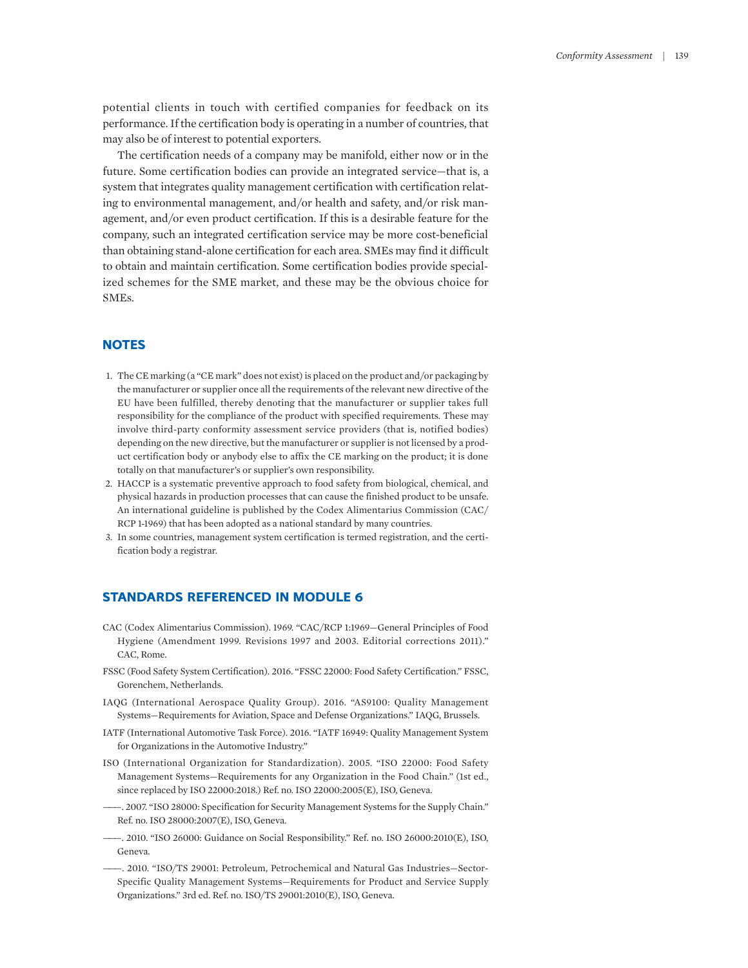potential clients in touch with certified companies for feedback on its performance. If the certification body is operating in a number of countries, that may also be of interest to potential exporters.

The certification needs of a company may be manifold, either now or in the future. Some certification bodies can provide an integrated service—that is, a system that integrates quality management certification with certification relating to environmental management, and/or health and safety, and/or risk management, and/or even product certification. If this is a desirable feature for the company, such an integrated certification service may be more cost-beneficial than obtaining stand-alone certification for each area. SMEs may find it difficult to obtain and maintain certification. Some certification bodies provide specialized schemes for the SME market, and these may be the obvious choice for SMEs.

# **NOTES**

- <span id="page-30-0"></span>[1.](#page-9-0) [The CE marking \(a "CE mark" does not exist\) is placed on the product and/or packaging by](#page-9-0)  [the](#page-9-0) [manufacturer or supplier once all the requirements of the](#page-9-0) [relevant new directive](#page-9-0) [of the](#page-9-0) [EU](#page-9-0) [have](#page-9-0) [been fulfilled,](#page-9-0) [thereby denoting](#page-9-0) [that](#page-9-0) [the manufacturer or supplier takes full](#page-9-0)  [responsibility for the compliance of](#page-9-0) [the product with specified](#page-9-0) [requirements. These may](#page-9-0) [involve third-party conformity](#page-9-0) [assessment service](#page-9-0) [providers](#page-9-0) [\(that](#page-9-0) [is,](#page-9-0) [notified bodies\)](#page-9-0) [depending](#page-9-0) [on](#page-9-0) [the new directive, but the manufacturer](#page-9-0) [or supplier is not licensed by a prod](#page-9-0)[uct certification body or anybody](#page-9-0) [else to affix](#page-9-0) [the CE](#page-9-0) [marking](#page-9-0) [on](#page-9-0) [the product; it is done](#page-9-0)  [totally on](#page-9-0) [that manufacturer's or supplier's own](#page-9-0) [responsibility.](#page-9-0)
- <span id="page-30-1"></span>[2.](#page-9-1) [HACCP is a systematic preventive approach to food](#page-9-1) [safety](#page-9-1) [from biological, chemical, and](#page-9-1) [physical](#page-9-1) [hazards in](#page-9-1) [production processes that can cause](#page-9-1) [the finished](#page-9-1) [product to be unsafe.](#page-9-1) [An](#page-9-1) [international guideline](#page-9-1) [is](#page-9-1) [published by](#page-9-1) [the Codex Alimentarius](#page-9-1) [Commission \(CAC/](#page-9-1) [RCP 1-1969\) that has](#page-9-1) [been adopted as a national standard](#page-9-1) [by many countries.](#page-9-1)
- <span id="page-30-2"></span>[3.](#page-12-0) [In some countries, management system certification is termed registration, and the certi](#page-12-0)[fication body a registrar.](#page-12-0)

## **STANDARDS REFERENCED IN MODULE 6**

- CAC (Codex Alimentarius Commission). 1969. "CAC/RCP 1:1969—General Principles of Food Hygiene (Amendment 1999. Revisions 1997 and 2003. Editorial corrections 2011)." CAC, Rome.
- FSSC (Food Safety System Certification). 2016. "FSSC 22000: Food Safety Certification." FSSC, Gorenchem, Netherlands.
- IAQG (International Aerospace Quality Group). 2016. "AS9100: Quality Management Systems—Requirements for Aviation, Space and Defense Organizations." IAQG, Brussels.
- IATF (International Automotive Task Force). 2016. "IATF 16949: Quality Management System for Organizations in the Automotive Industry."
- ISO (International Organization for Standardization). 2005. "ISO 22000: Food Safety Management Systems—Requirements for any Organization in the Food Chain." (1st ed., since replaced by ISO 22000:2018.) Ref. no. ISO 22000:2005(E), ISO, Geneva.
- ———. 2007. "ISO 28000: Specification for Security Management Systems for the Supply Chain." Ref. no. ISO 28000:2007(E), ISO, Geneva.
- ———. 2010. "ISO 26000: Guidance on Social Responsibility." Ref. no. ISO 26000:2010(E), ISO, Geneva.
- ———. 2010. "ISO/TS 29001: Petroleum, Petrochemical and Natural Gas Industries—Sector-Specific Quality Management Systems—Requirements for Product and Service Supply Organizations." 3rd ed. Ref. no. ISO/TS 29001:2010(E), ISO, Geneva.